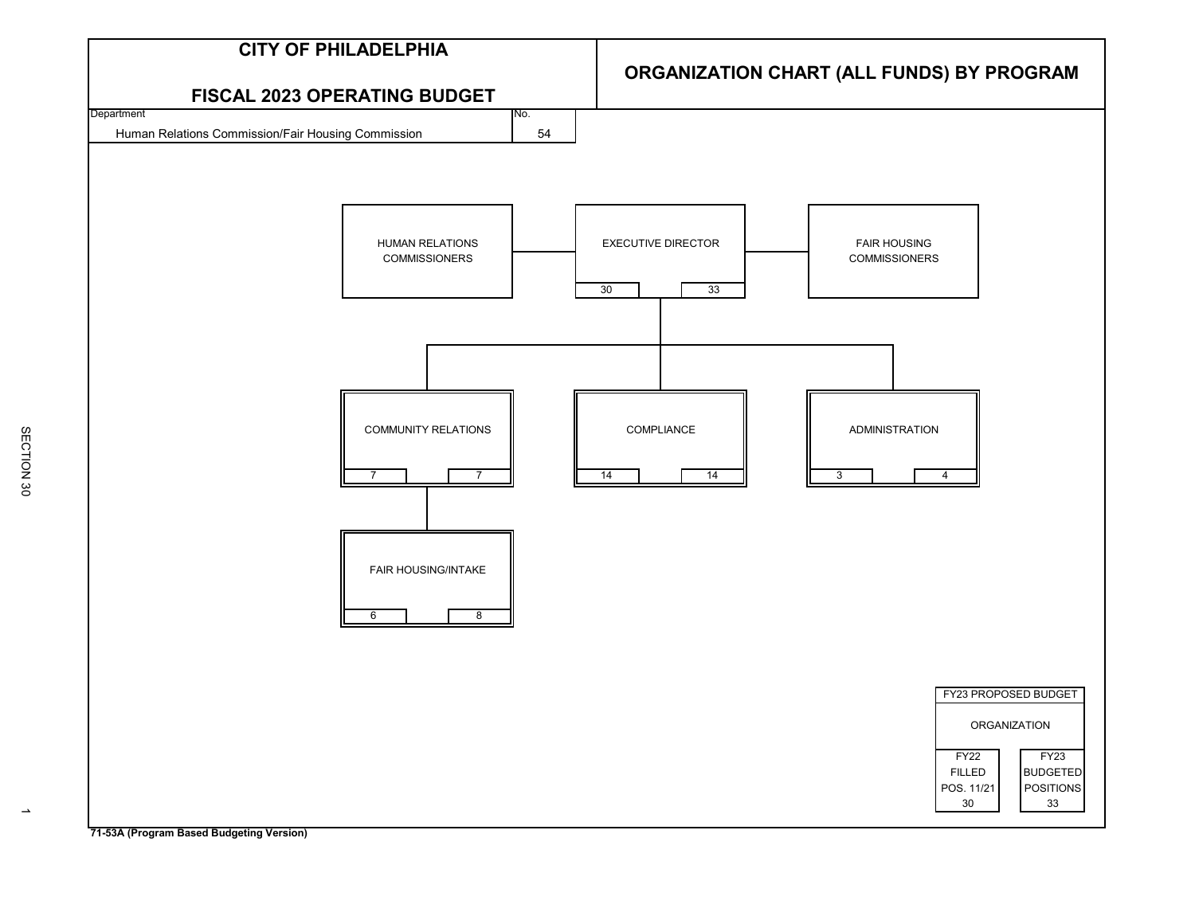

SECTION 30

SECTION 30

**71-53A (Program Based Budgeting Version)**

 $\rightarrow$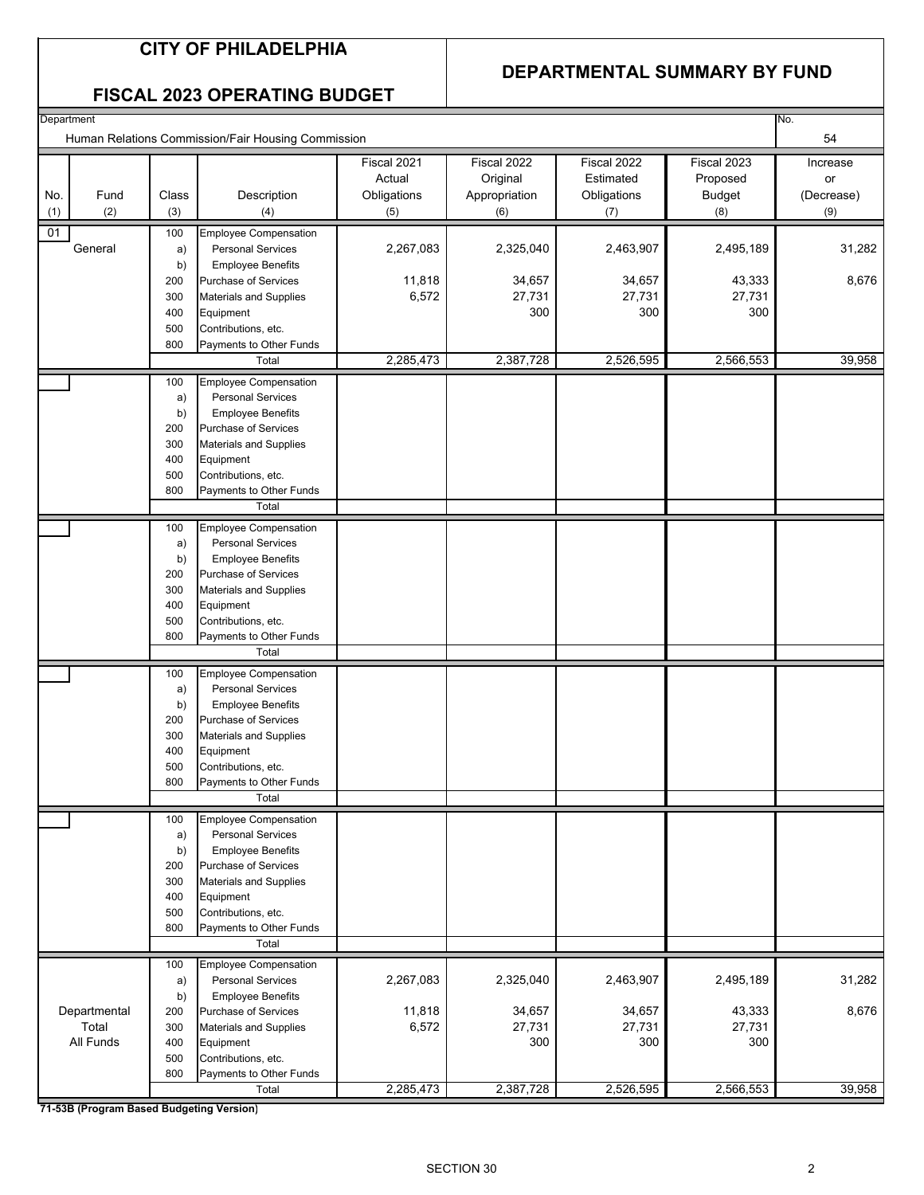### **CITY OF PHILADELPHIA**

#### **DEPARTMENTAL SUMMARY BY FUND**

|  | <b>FISCAL 2023 OPERATING BUDGET</b> |  |
|--|-------------------------------------|--|
|--|-------------------------------------|--|

| Human Relations Commission/Fair Housing Commission<br>54<br>Fiscal 2022<br>Fiscal 2021<br>Fiscal 2022<br>Fiscal 2023<br>Increase<br>Actual<br>Original<br>Estimated<br>Proposed<br>or<br>Class<br>Obligations<br>Obligations<br><b>Budget</b><br>No.<br>Fund<br>Description<br>Appropriation<br>(Decrease)<br>(2)<br>(3)<br>(1)<br>(4)<br>(5)<br>(8)<br>(9)<br>(6)<br>(7)<br>01<br><b>Employee Compensation</b><br>100<br>31,282<br>General<br>2,463,907<br><b>Personal Services</b><br>2,267,083<br>2,325,040<br>2,495,189<br>a)<br><b>Employee Benefits</b><br>b)<br>8,676<br>11,818<br>34,657<br>34,657<br>43,333<br>200<br>Purchase of Services<br>6,572<br>27,731<br>27,731<br>27,731<br>300<br>Materials and Supplies<br>300<br>300<br>300<br>400<br>Equipment<br>500<br>Contributions, etc.<br>800<br>Payments to Other Funds<br>2,285,473<br>2,387,728<br>2,526,595<br>2,566,553<br>Total<br><b>Employee Compensation</b><br>100<br><b>Personal Services</b><br>a)<br><b>Employee Benefits</b><br>b)<br>200<br>Purchase of Services<br>300<br>Materials and Supplies<br>400<br>Equipment<br>500<br>Contributions, etc.<br>800<br>Payments to Other Funds<br>Total<br><b>Employee Compensation</b><br>100<br><b>Personal Services</b><br>a)<br><b>Employee Benefits</b><br>b)<br>Purchase of Services<br>200<br>300<br><b>Materials and Supplies</b><br>400<br>Equipment<br>500<br>Contributions, etc.<br>800<br>Payments to Other Funds<br>Total<br><b>Employee Compensation</b><br>100<br><b>Personal Services</b><br>a)<br><b>Employee Benefits</b><br>b)<br>200<br>Purchase of Services<br>300<br><b>Materials and Supplies</b><br>400<br>Equipment<br>500<br>Contributions, etc.<br>800<br>Payments to Other Funds<br>Total<br><b>Employee Compensation</b><br>100<br><b>Personal Services</b><br>a)<br><b>Employee Benefits</b><br>b)<br>200<br><b>Purchase of Services</b><br>300<br>Materials and Supplies<br>400<br>Equipment<br>500<br>Contributions, etc.<br>Payments to Other Funds<br>800<br>Total<br><b>Employee Compensation</b><br>100<br>2,267,083<br>2,463,907<br><b>Personal Services</b><br>2,325,040<br>2,495,189<br>a)<br>b)<br><b>Employee Benefits</b><br>34,657<br>34,657<br>Departmental<br>11,818<br>43,333<br>200<br><b>Purchase of Services</b><br>Total<br>6,572<br>27,731<br>27,731<br>27,731<br>300<br>Materials and Supplies<br>All Funds<br>300<br>300<br>300<br>400<br>Equipment<br>500<br>Contributions, etc.<br>800<br>Payments to Other Funds<br>2,285,473<br>2,387,728<br>2,526,595<br>2,566,553<br>Total | Department |  |  |  | No.    |
|---------------------------------------------------------------------------------------------------------------------------------------------------------------------------------------------------------------------------------------------------------------------------------------------------------------------------------------------------------------------------------------------------------------------------------------------------------------------------------------------------------------------------------------------------------------------------------------------------------------------------------------------------------------------------------------------------------------------------------------------------------------------------------------------------------------------------------------------------------------------------------------------------------------------------------------------------------------------------------------------------------------------------------------------------------------------------------------------------------------------------------------------------------------------------------------------------------------------------------------------------------------------------------------------------------------------------------------------------------------------------------------------------------------------------------------------------------------------------------------------------------------------------------------------------------------------------------------------------------------------------------------------------------------------------------------------------------------------------------------------------------------------------------------------------------------------------------------------------------------------------------------------------------------------------------------------------------------------------------------------------------------------------------------------------------------------------------------------------------------------------------------------------------------------------------------------------------------------------------------------------------------------------------------------------------------------------------------------------------------------------------------------------------------------------------------------------------------------------------------------------------------------------------------------------------|------------|--|--|--|--------|
|                                                                                                                                                                                                                                                                                                                                                                                                                                                                                                                                                                                                                                                                                                                                                                                                                                                                                                                                                                                                                                                                                                                                                                                                                                                                                                                                                                                                                                                                                                                                                                                                                                                                                                                                                                                                                                                                                                                                                                                                                                                                                                                                                                                                                                                                                                                                                                                                                                                                                                                                                         |            |  |  |  |        |
|                                                                                                                                                                                                                                                                                                                                                                                                                                                                                                                                                                                                                                                                                                                                                                                                                                                                                                                                                                                                                                                                                                                                                                                                                                                                                                                                                                                                                                                                                                                                                                                                                                                                                                                                                                                                                                                                                                                                                                                                                                                                                                                                                                                                                                                                                                                                                                                                                                                                                                                                                         |            |  |  |  |        |
|                                                                                                                                                                                                                                                                                                                                                                                                                                                                                                                                                                                                                                                                                                                                                                                                                                                                                                                                                                                                                                                                                                                                                                                                                                                                                                                                                                                                                                                                                                                                                                                                                                                                                                                                                                                                                                                                                                                                                                                                                                                                                                                                                                                                                                                                                                                                                                                                                                                                                                                                                         |            |  |  |  |        |
|                                                                                                                                                                                                                                                                                                                                                                                                                                                                                                                                                                                                                                                                                                                                                                                                                                                                                                                                                                                                                                                                                                                                                                                                                                                                                                                                                                                                                                                                                                                                                                                                                                                                                                                                                                                                                                                                                                                                                                                                                                                                                                                                                                                                                                                                                                                                                                                                                                                                                                                                                         |            |  |  |  |        |
|                                                                                                                                                                                                                                                                                                                                                                                                                                                                                                                                                                                                                                                                                                                                                                                                                                                                                                                                                                                                                                                                                                                                                                                                                                                                                                                                                                                                                                                                                                                                                                                                                                                                                                                                                                                                                                                                                                                                                                                                                                                                                                                                                                                                                                                                                                                                                                                                                                                                                                                                                         |            |  |  |  |        |
|                                                                                                                                                                                                                                                                                                                                                                                                                                                                                                                                                                                                                                                                                                                                                                                                                                                                                                                                                                                                                                                                                                                                                                                                                                                                                                                                                                                                                                                                                                                                                                                                                                                                                                                                                                                                                                                                                                                                                                                                                                                                                                                                                                                                                                                                                                                                                                                                                                                                                                                                                         |            |  |  |  |        |
|                                                                                                                                                                                                                                                                                                                                                                                                                                                                                                                                                                                                                                                                                                                                                                                                                                                                                                                                                                                                                                                                                                                                                                                                                                                                                                                                                                                                                                                                                                                                                                                                                                                                                                                                                                                                                                                                                                                                                                                                                                                                                                                                                                                                                                                                                                                                                                                                                                                                                                                                                         |            |  |  |  |        |
|                                                                                                                                                                                                                                                                                                                                                                                                                                                                                                                                                                                                                                                                                                                                                                                                                                                                                                                                                                                                                                                                                                                                                                                                                                                                                                                                                                                                                                                                                                                                                                                                                                                                                                                                                                                                                                                                                                                                                                                                                                                                                                                                                                                                                                                                                                                                                                                                                                                                                                                                                         |            |  |  |  |        |
|                                                                                                                                                                                                                                                                                                                                                                                                                                                                                                                                                                                                                                                                                                                                                                                                                                                                                                                                                                                                                                                                                                                                                                                                                                                                                                                                                                                                                                                                                                                                                                                                                                                                                                                                                                                                                                                                                                                                                                                                                                                                                                                                                                                                                                                                                                                                                                                                                                                                                                                                                         |            |  |  |  |        |
|                                                                                                                                                                                                                                                                                                                                                                                                                                                                                                                                                                                                                                                                                                                                                                                                                                                                                                                                                                                                                                                                                                                                                                                                                                                                                                                                                                                                                                                                                                                                                                                                                                                                                                                                                                                                                                                                                                                                                                                                                                                                                                                                                                                                                                                                                                                                                                                                                                                                                                                                                         |            |  |  |  |        |
|                                                                                                                                                                                                                                                                                                                                                                                                                                                                                                                                                                                                                                                                                                                                                                                                                                                                                                                                                                                                                                                                                                                                                                                                                                                                                                                                                                                                                                                                                                                                                                                                                                                                                                                                                                                                                                                                                                                                                                                                                                                                                                                                                                                                                                                                                                                                                                                                                                                                                                                                                         |            |  |  |  |        |
|                                                                                                                                                                                                                                                                                                                                                                                                                                                                                                                                                                                                                                                                                                                                                                                                                                                                                                                                                                                                                                                                                                                                                                                                                                                                                                                                                                                                                                                                                                                                                                                                                                                                                                                                                                                                                                                                                                                                                                                                                                                                                                                                                                                                                                                                                                                                                                                                                                                                                                                                                         |            |  |  |  |        |
|                                                                                                                                                                                                                                                                                                                                                                                                                                                                                                                                                                                                                                                                                                                                                                                                                                                                                                                                                                                                                                                                                                                                                                                                                                                                                                                                                                                                                                                                                                                                                                                                                                                                                                                                                                                                                                                                                                                                                                                                                                                                                                                                                                                                                                                                                                                                                                                                                                                                                                                                                         |            |  |  |  |        |
|                                                                                                                                                                                                                                                                                                                                                                                                                                                                                                                                                                                                                                                                                                                                                                                                                                                                                                                                                                                                                                                                                                                                                                                                                                                                                                                                                                                                                                                                                                                                                                                                                                                                                                                                                                                                                                                                                                                                                                                                                                                                                                                                                                                                                                                                                                                                                                                                                                                                                                                                                         |            |  |  |  |        |
|                                                                                                                                                                                                                                                                                                                                                                                                                                                                                                                                                                                                                                                                                                                                                                                                                                                                                                                                                                                                                                                                                                                                                                                                                                                                                                                                                                                                                                                                                                                                                                                                                                                                                                                                                                                                                                                                                                                                                                                                                                                                                                                                                                                                                                                                                                                                                                                                                                                                                                                                                         |            |  |  |  | 39,958 |
|                                                                                                                                                                                                                                                                                                                                                                                                                                                                                                                                                                                                                                                                                                                                                                                                                                                                                                                                                                                                                                                                                                                                                                                                                                                                                                                                                                                                                                                                                                                                                                                                                                                                                                                                                                                                                                                                                                                                                                                                                                                                                                                                                                                                                                                                                                                                                                                                                                                                                                                                                         |            |  |  |  |        |
|                                                                                                                                                                                                                                                                                                                                                                                                                                                                                                                                                                                                                                                                                                                                                                                                                                                                                                                                                                                                                                                                                                                                                                                                                                                                                                                                                                                                                                                                                                                                                                                                                                                                                                                                                                                                                                                                                                                                                                                                                                                                                                                                                                                                                                                                                                                                                                                                                                                                                                                                                         |            |  |  |  |        |
|                                                                                                                                                                                                                                                                                                                                                                                                                                                                                                                                                                                                                                                                                                                                                                                                                                                                                                                                                                                                                                                                                                                                                                                                                                                                                                                                                                                                                                                                                                                                                                                                                                                                                                                                                                                                                                                                                                                                                                                                                                                                                                                                                                                                                                                                                                                                                                                                                                                                                                                                                         |            |  |  |  |        |
|                                                                                                                                                                                                                                                                                                                                                                                                                                                                                                                                                                                                                                                                                                                                                                                                                                                                                                                                                                                                                                                                                                                                                                                                                                                                                                                                                                                                                                                                                                                                                                                                                                                                                                                                                                                                                                                                                                                                                                                                                                                                                                                                                                                                                                                                                                                                                                                                                                                                                                                                                         |            |  |  |  |        |
|                                                                                                                                                                                                                                                                                                                                                                                                                                                                                                                                                                                                                                                                                                                                                                                                                                                                                                                                                                                                                                                                                                                                                                                                                                                                                                                                                                                                                                                                                                                                                                                                                                                                                                                                                                                                                                                                                                                                                                                                                                                                                                                                                                                                                                                                                                                                                                                                                                                                                                                                                         |            |  |  |  |        |
|                                                                                                                                                                                                                                                                                                                                                                                                                                                                                                                                                                                                                                                                                                                                                                                                                                                                                                                                                                                                                                                                                                                                                                                                                                                                                                                                                                                                                                                                                                                                                                                                                                                                                                                                                                                                                                                                                                                                                                                                                                                                                                                                                                                                                                                                                                                                                                                                                                                                                                                                                         |            |  |  |  |        |
|                                                                                                                                                                                                                                                                                                                                                                                                                                                                                                                                                                                                                                                                                                                                                                                                                                                                                                                                                                                                                                                                                                                                                                                                                                                                                                                                                                                                                                                                                                                                                                                                                                                                                                                                                                                                                                                                                                                                                                                                                                                                                                                                                                                                                                                                                                                                                                                                                                                                                                                                                         |            |  |  |  |        |
|                                                                                                                                                                                                                                                                                                                                                                                                                                                                                                                                                                                                                                                                                                                                                                                                                                                                                                                                                                                                                                                                                                                                                                                                                                                                                                                                                                                                                                                                                                                                                                                                                                                                                                                                                                                                                                                                                                                                                                                                                                                                                                                                                                                                                                                                                                                                                                                                                                                                                                                                                         |            |  |  |  |        |
|                                                                                                                                                                                                                                                                                                                                                                                                                                                                                                                                                                                                                                                                                                                                                                                                                                                                                                                                                                                                                                                                                                                                                                                                                                                                                                                                                                                                                                                                                                                                                                                                                                                                                                                                                                                                                                                                                                                                                                                                                                                                                                                                                                                                                                                                                                                                                                                                                                                                                                                                                         |            |  |  |  |        |
|                                                                                                                                                                                                                                                                                                                                                                                                                                                                                                                                                                                                                                                                                                                                                                                                                                                                                                                                                                                                                                                                                                                                                                                                                                                                                                                                                                                                                                                                                                                                                                                                                                                                                                                                                                                                                                                                                                                                                                                                                                                                                                                                                                                                                                                                                                                                                                                                                                                                                                                                                         |            |  |  |  |        |
|                                                                                                                                                                                                                                                                                                                                                                                                                                                                                                                                                                                                                                                                                                                                                                                                                                                                                                                                                                                                                                                                                                                                                                                                                                                                                                                                                                                                                                                                                                                                                                                                                                                                                                                                                                                                                                                                                                                                                                                                                                                                                                                                                                                                                                                                                                                                                                                                                                                                                                                                                         |            |  |  |  |        |
|                                                                                                                                                                                                                                                                                                                                                                                                                                                                                                                                                                                                                                                                                                                                                                                                                                                                                                                                                                                                                                                                                                                                                                                                                                                                                                                                                                                                                                                                                                                                                                                                                                                                                                                                                                                                                                                                                                                                                                                                                                                                                                                                                                                                                                                                                                                                                                                                                                                                                                                                                         |            |  |  |  |        |
|                                                                                                                                                                                                                                                                                                                                                                                                                                                                                                                                                                                                                                                                                                                                                                                                                                                                                                                                                                                                                                                                                                                                                                                                                                                                                                                                                                                                                                                                                                                                                                                                                                                                                                                                                                                                                                                                                                                                                                                                                                                                                                                                                                                                                                                                                                                                                                                                                                                                                                                                                         |            |  |  |  |        |
|                                                                                                                                                                                                                                                                                                                                                                                                                                                                                                                                                                                                                                                                                                                                                                                                                                                                                                                                                                                                                                                                                                                                                                                                                                                                                                                                                                                                                                                                                                                                                                                                                                                                                                                                                                                                                                                                                                                                                                                                                                                                                                                                                                                                                                                                                                                                                                                                                                                                                                                                                         |            |  |  |  |        |
|                                                                                                                                                                                                                                                                                                                                                                                                                                                                                                                                                                                                                                                                                                                                                                                                                                                                                                                                                                                                                                                                                                                                                                                                                                                                                                                                                                                                                                                                                                                                                                                                                                                                                                                                                                                                                                                                                                                                                                                                                                                                                                                                                                                                                                                                                                                                                                                                                                                                                                                                                         |            |  |  |  |        |
|                                                                                                                                                                                                                                                                                                                                                                                                                                                                                                                                                                                                                                                                                                                                                                                                                                                                                                                                                                                                                                                                                                                                                                                                                                                                                                                                                                                                                                                                                                                                                                                                                                                                                                                                                                                                                                                                                                                                                                                                                                                                                                                                                                                                                                                                                                                                                                                                                                                                                                                                                         |            |  |  |  |        |
|                                                                                                                                                                                                                                                                                                                                                                                                                                                                                                                                                                                                                                                                                                                                                                                                                                                                                                                                                                                                                                                                                                                                                                                                                                                                                                                                                                                                                                                                                                                                                                                                                                                                                                                                                                                                                                                                                                                                                                                                                                                                                                                                                                                                                                                                                                                                                                                                                                                                                                                                                         |            |  |  |  |        |
|                                                                                                                                                                                                                                                                                                                                                                                                                                                                                                                                                                                                                                                                                                                                                                                                                                                                                                                                                                                                                                                                                                                                                                                                                                                                                                                                                                                                                                                                                                                                                                                                                                                                                                                                                                                                                                                                                                                                                                                                                                                                                                                                                                                                                                                                                                                                                                                                                                                                                                                                                         |            |  |  |  |        |
|                                                                                                                                                                                                                                                                                                                                                                                                                                                                                                                                                                                                                                                                                                                                                                                                                                                                                                                                                                                                                                                                                                                                                                                                                                                                                                                                                                                                                                                                                                                                                                                                                                                                                                                                                                                                                                                                                                                                                                                                                                                                                                                                                                                                                                                                                                                                                                                                                                                                                                                                                         |            |  |  |  |        |
|                                                                                                                                                                                                                                                                                                                                                                                                                                                                                                                                                                                                                                                                                                                                                                                                                                                                                                                                                                                                                                                                                                                                                                                                                                                                                                                                                                                                                                                                                                                                                                                                                                                                                                                                                                                                                                                                                                                                                                                                                                                                                                                                                                                                                                                                                                                                                                                                                                                                                                                                                         |            |  |  |  |        |
|                                                                                                                                                                                                                                                                                                                                                                                                                                                                                                                                                                                                                                                                                                                                                                                                                                                                                                                                                                                                                                                                                                                                                                                                                                                                                                                                                                                                                                                                                                                                                                                                                                                                                                                                                                                                                                                                                                                                                                                                                                                                                                                                                                                                                                                                                                                                                                                                                                                                                                                                                         |            |  |  |  |        |
|                                                                                                                                                                                                                                                                                                                                                                                                                                                                                                                                                                                                                                                                                                                                                                                                                                                                                                                                                                                                                                                                                                                                                                                                                                                                                                                                                                                                                                                                                                                                                                                                                                                                                                                                                                                                                                                                                                                                                                                                                                                                                                                                                                                                                                                                                                                                                                                                                                                                                                                                                         |            |  |  |  |        |
|                                                                                                                                                                                                                                                                                                                                                                                                                                                                                                                                                                                                                                                                                                                                                                                                                                                                                                                                                                                                                                                                                                                                                                                                                                                                                                                                                                                                                                                                                                                                                                                                                                                                                                                                                                                                                                                                                                                                                                                                                                                                                                                                                                                                                                                                                                                                                                                                                                                                                                                                                         |            |  |  |  |        |
|                                                                                                                                                                                                                                                                                                                                                                                                                                                                                                                                                                                                                                                                                                                                                                                                                                                                                                                                                                                                                                                                                                                                                                                                                                                                                                                                                                                                                                                                                                                                                                                                                                                                                                                                                                                                                                                                                                                                                                                                                                                                                                                                                                                                                                                                                                                                                                                                                                                                                                                                                         |            |  |  |  |        |
|                                                                                                                                                                                                                                                                                                                                                                                                                                                                                                                                                                                                                                                                                                                                                                                                                                                                                                                                                                                                                                                                                                                                                                                                                                                                                                                                                                                                                                                                                                                                                                                                                                                                                                                                                                                                                                                                                                                                                                                                                                                                                                                                                                                                                                                                                                                                                                                                                                                                                                                                                         |            |  |  |  |        |
|                                                                                                                                                                                                                                                                                                                                                                                                                                                                                                                                                                                                                                                                                                                                                                                                                                                                                                                                                                                                                                                                                                                                                                                                                                                                                                                                                                                                                                                                                                                                                                                                                                                                                                                                                                                                                                                                                                                                                                                                                                                                                                                                                                                                                                                                                                                                                                                                                                                                                                                                                         |            |  |  |  |        |
|                                                                                                                                                                                                                                                                                                                                                                                                                                                                                                                                                                                                                                                                                                                                                                                                                                                                                                                                                                                                                                                                                                                                                                                                                                                                                                                                                                                                                                                                                                                                                                                                                                                                                                                                                                                                                                                                                                                                                                                                                                                                                                                                                                                                                                                                                                                                                                                                                                                                                                                                                         |            |  |  |  |        |
|                                                                                                                                                                                                                                                                                                                                                                                                                                                                                                                                                                                                                                                                                                                                                                                                                                                                                                                                                                                                                                                                                                                                                                                                                                                                                                                                                                                                                                                                                                                                                                                                                                                                                                                                                                                                                                                                                                                                                                                                                                                                                                                                                                                                                                                                                                                                                                                                                                                                                                                                                         |            |  |  |  |        |
|                                                                                                                                                                                                                                                                                                                                                                                                                                                                                                                                                                                                                                                                                                                                                                                                                                                                                                                                                                                                                                                                                                                                                                                                                                                                                                                                                                                                                                                                                                                                                                                                                                                                                                                                                                                                                                                                                                                                                                                                                                                                                                                                                                                                                                                                                                                                                                                                                                                                                                                                                         |            |  |  |  |        |
|                                                                                                                                                                                                                                                                                                                                                                                                                                                                                                                                                                                                                                                                                                                                                                                                                                                                                                                                                                                                                                                                                                                                                                                                                                                                                                                                                                                                                                                                                                                                                                                                                                                                                                                                                                                                                                                                                                                                                                                                                                                                                                                                                                                                                                                                                                                                                                                                                                                                                                                                                         |            |  |  |  |        |
|                                                                                                                                                                                                                                                                                                                                                                                                                                                                                                                                                                                                                                                                                                                                                                                                                                                                                                                                                                                                                                                                                                                                                                                                                                                                                                                                                                                                                                                                                                                                                                                                                                                                                                                                                                                                                                                                                                                                                                                                                                                                                                                                                                                                                                                                                                                                                                                                                                                                                                                                                         |            |  |  |  |        |
|                                                                                                                                                                                                                                                                                                                                                                                                                                                                                                                                                                                                                                                                                                                                                                                                                                                                                                                                                                                                                                                                                                                                                                                                                                                                                                                                                                                                                                                                                                                                                                                                                                                                                                                                                                                                                                                                                                                                                                                                                                                                                                                                                                                                                                                                                                                                                                                                                                                                                                                                                         |            |  |  |  |        |
|                                                                                                                                                                                                                                                                                                                                                                                                                                                                                                                                                                                                                                                                                                                                                                                                                                                                                                                                                                                                                                                                                                                                                                                                                                                                                                                                                                                                                                                                                                                                                                                                                                                                                                                                                                                                                                                                                                                                                                                                                                                                                                                                                                                                                                                                                                                                                                                                                                                                                                                                                         |            |  |  |  |        |
|                                                                                                                                                                                                                                                                                                                                                                                                                                                                                                                                                                                                                                                                                                                                                                                                                                                                                                                                                                                                                                                                                                                                                                                                                                                                                                                                                                                                                                                                                                                                                                                                                                                                                                                                                                                                                                                                                                                                                                                                                                                                                                                                                                                                                                                                                                                                                                                                                                                                                                                                                         |            |  |  |  |        |
|                                                                                                                                                                                                                                                                                                                                                                                                                                                                                                                                                                                                                                                                                                                                                                                                                                                                                                                                                                                                                                                                                                                                                                                                                                                                                                                                                                                                                                                                                                                                                                                                                                                                                                                                                                                                                                                                                                                                                                                                                                                                                                                                                                                                                                                                                                                                                                                                                                                                                                                                                         |            |  |  |  |        |
|                                                                                                                                                                                                                                                                                                                                                                                                                                                                                                                                                                                                                                                                                                                                                                                                                                                                                                                                                                                                                                                                                                                                                                                                                                                                                                                                                                                                                                                                                                                                                                                                                                                                                                                                                                                                                                                                                                                                                                                                                                                                                                                                                                                                                                                                                                                                                                                                                                                                                                                                                         |            |  |  |  |        |
|                                                                                                                                                                                                                                                                                                                                                                                                                                                                                                                                                                                                                                                                                                                                                                                                                                                                                                                                                                                                                                                                                                                                                                                                                                                                                                                                                                                                                                                                                                                                                                                                                                                                                                                                                                                                                                                                                                                                                                                                                                                                                                                                                                                                                                                                                                                                                                                                                                                                                                                                                         |            |  |  |  |        |
|                                                                                                                                                                                                                                                                                                                                                                                                                                                                                                                                                                                                                                                                                                                                                                                                                                                                                                                                                                                                                                                                                                                                                                                                                                                                                                                                                                                                                                                                                                                                                                                                                                                                                                                                                                                                                                                                                                                                                                                                                                                                                                                                                                                                                                                                                                                                                                                                                                                                                                                                                         |            |  |  |  |        |
|                                                                                                                                                                                                                                                                                                                                                                                                                                                                                                                                                                                                                                                                                                                                                                                                                                                                                                                                                                                                                                                                                                                                                                                                                                                                                                                                                                                                                                                                                                                                                                                                                                                                                                                                                                                                                                                                                                                                                                                                                                                                                                                                                                                                                                                                                                                                                                                                                                                                                                                                                         |            |  |  |  | 31,282 |
|                                                                                                                                                                                                                                                                                                                                                                                                                                                                                                                                                                                                                                                                                                                                                                                                                                                                                                                                                                                                                                                                                                                                                                                                                                                                                                                                                                                                                                                                                                                                                                                                                                                                                                                                                                                                                                                                                                                                                                                                                                                                                                                                                                                                                                                                                                                                                                                                                                                                                                                                                         |            |  |  |  |        |
|                                                                                                                                                                                                                                                                                                                                                                                                                                                                                                                                                                                                                                                                                                                                                                                                                                                                                                                                                                                                                                                                                                                                                                                                                                                                                                                                                                                                                                                                                                                                                                                                                                                                                                                                                                                                                                                                                                                                                                                                                                                                                                                                                                                                                                                                                                                                                                                                                                                                                                                                                         |            |  |  |  | 8,676  |
|                                                                                                                                                                                                                                                                                                                                                                                                                                                                                                                                                                                                                                                                                                                                                                                                                                                                                                                                                                                                                                                                                                                                                                                                                                                                                                                                                                                                                                                                                                                                                                                                                                                                                                                                                                                                                                                                                                                                                                                                                                                                                                                                                                                                                                                                                                                                                                                                                                                                                                                                                         |            |  |  |  |        |
|                                                                                                                                                                                                                                                                                                                                                                                                                                                                                                                                                                                                                                                                                                                                                                                                                                                                                                                                                                                                                                                                                                                                                                                                                                                                                                                                                                                                                                                                                                                                                                                                                                                                                                                                                                                                                                                                                                                                                                                                                                                                                                                                                                                                                                                                                                                                                                                                                                                                                                                                                         |            |  |  |  |        |
|                                                                                                                                                                                                                                                                                                                                                                                                                                                                                                                                                                                                                                                                                                                                                                                                                                                                                                                                                                                                                                                                                                                                                                                                                                                                                                                                                                                                                                                                                                                                                                                                                                                                                                                                                                                                                                                                                                                                                                                                                                                                                                                                                                                                                                                                                                                                                                                                                                                                                                                                                         |            |  |  |  |        |
|                                                                                                                                                                                                                                                                                                                                                                                                                                                                                                                                                                                                                                                                                                                                                                                                                                                                                                                                                                                                                                                                                                                                                                                                                                                                                                                                                                                                                                                                                                                                                                                                                                                                                                                                                                                                                                                                                                                                                                                                                                                                                                                                                                                                                                                                                                                                                                                                                                                                                                                                                         |            |  |  |  |        |
|                                                                                                                                                                                                                                                                                                                                                                                                                                                                                                                                                                                                                                                                                                                                                                                                                                                                                                                                                                                                                                                                                                                                                                                                                                                                                                                                                                                                                                                                                                                                                                                                                                                                                                                                                                                                                                                                                                                                                                                                                                                                                                                                                                                                                                                                                                                                                                                                                                                                                                                                                         |            |  |  |  | 39,958 |
| 71-53B (Program Based Budgeting Version)                                                                                                                                                                                                                                                                                                                                                                                                                                                                                                                                                                                                                                                                                                                                                                                                                                                                                                                                                                                                                                                                                                                                                                                                                                                                                                                                                                                                                                                                                                                                                                                                                                                                                                                                                                                                                                                                                                                                                                                                                                                                                                                                                                                                                                                                                                                                                                                                                                                                                                                |            |  |  |  |        |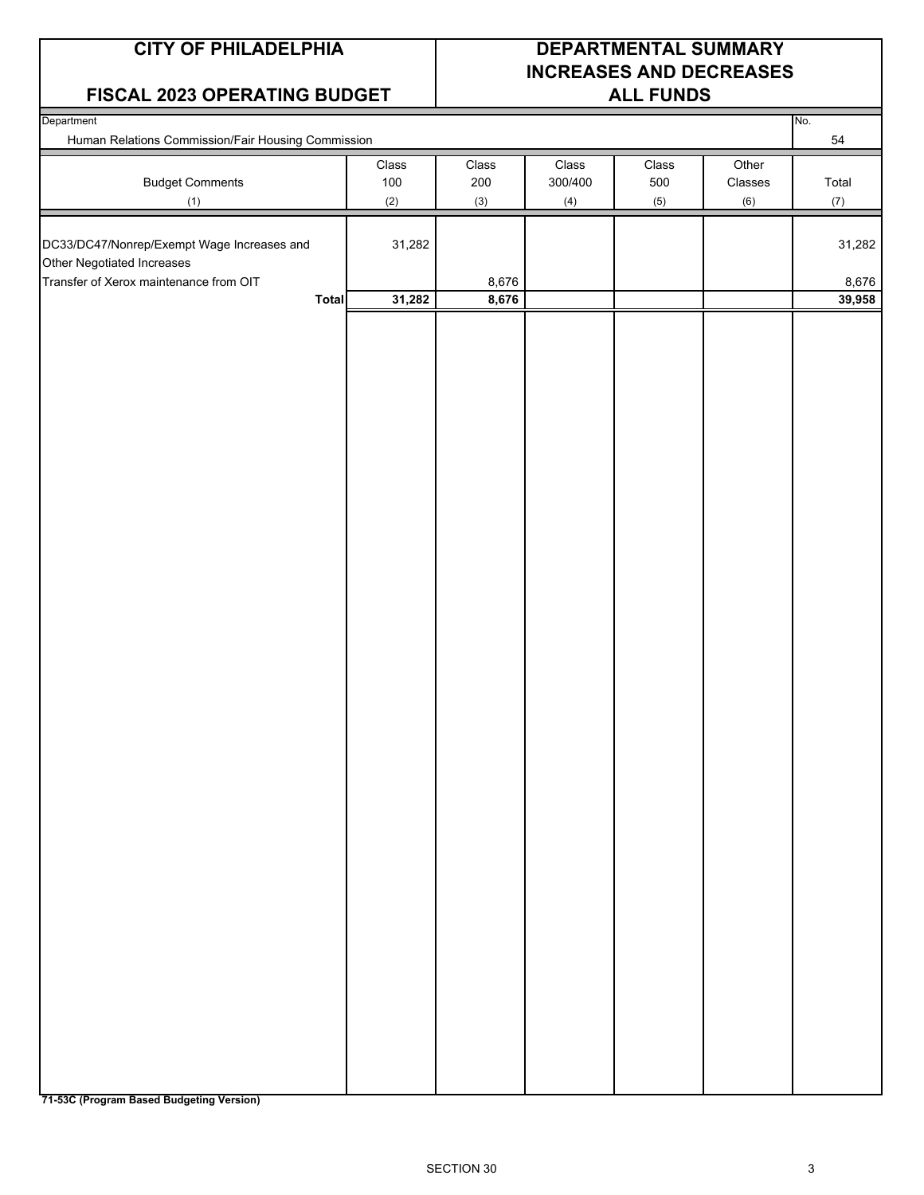#### **FISCAL 2023 OPERATING BUDGET ALL FUNDS**

## **CITY OF PHILADELPHIA DEPARTMENTAL SUMMARY INCREASES AND DECREASES**

| Department<br>Human Relations Commission/Fair Housing Commission              |                                |                     |                         |                                |                         | No.<br>54       |
|-------------------------------------------------------------------------------|--------------------------------|---------------------|-------------------------|--------------------------------|-------------------------|-----------------|
| <b>Budget Comments</b><br>(1)                                                 | $\textsf{Class}$<br>100<br>(2) | Class<br>200<br>(3) | Class<br>300/400<br>(4) | $\textsf{Class}$<br>500<br>(5) | Other<br>Classes<br>(6) | Total<br>(7)    |
| DC33/DC47/Nonrep/Exempt Wage Increases and                                    | 31,282                         |                     |                         |                                |                         | 31,282          |
| Other Negotiated Increases<br>Transfer of Xerox maintenance from OIT<br>Total | 31,282                         | 8,676<br>8,676      |                         |                                |                         | 8,676<br>39,958 |
|                                                                               |                                |                     |                         |                                |                         |                 |
|                                                                               |                                |                     |                         |                                |                         |                 |
|                                                                               |                                |                     |                         |                                |                         |                 |
|                                                                               |                                |                     |                         |                                |                         |                 |
|                                                                               |                                |                     |                         |                                |                         |                 |
|                                                                               |                                |                     |                         |                                |                         |                 |
|                                                                               |                                |                     |                         |                                |                         |                 |
|                                                                               |                                |                     |                         |                                |                         |                 |
|                                                                               |                                |                     |                         |                                |                         |                 |
|                                                                               |                                |                     |                         |                                |                         |                 |
|                                                                               |                                |                     |                         |                                |                         |                 |
|                                                                               |                                |                     |                         |                                |                         |                 |
|                                                                               |                                |                     |                         |                                |                         |                 |
|                                                                               |                                |                     |                         |                                |                         |                 |
|                                                                               |                                |                     |                         |                                |                         |                 |
|                                                                               |                                |                     |                         |                                |                         |                 |
|                                                                               |                                |                     |                         |                                |                         |                 |
|                                                                               |                                |                     |                         |                                |                         |                 |
|                                                                               |                                |                     |                         |                                |                         |                 |
|                                                                               |                                |                     |                         |                                |                         |                 |

**71-53C (Program Based Budgeting Version)**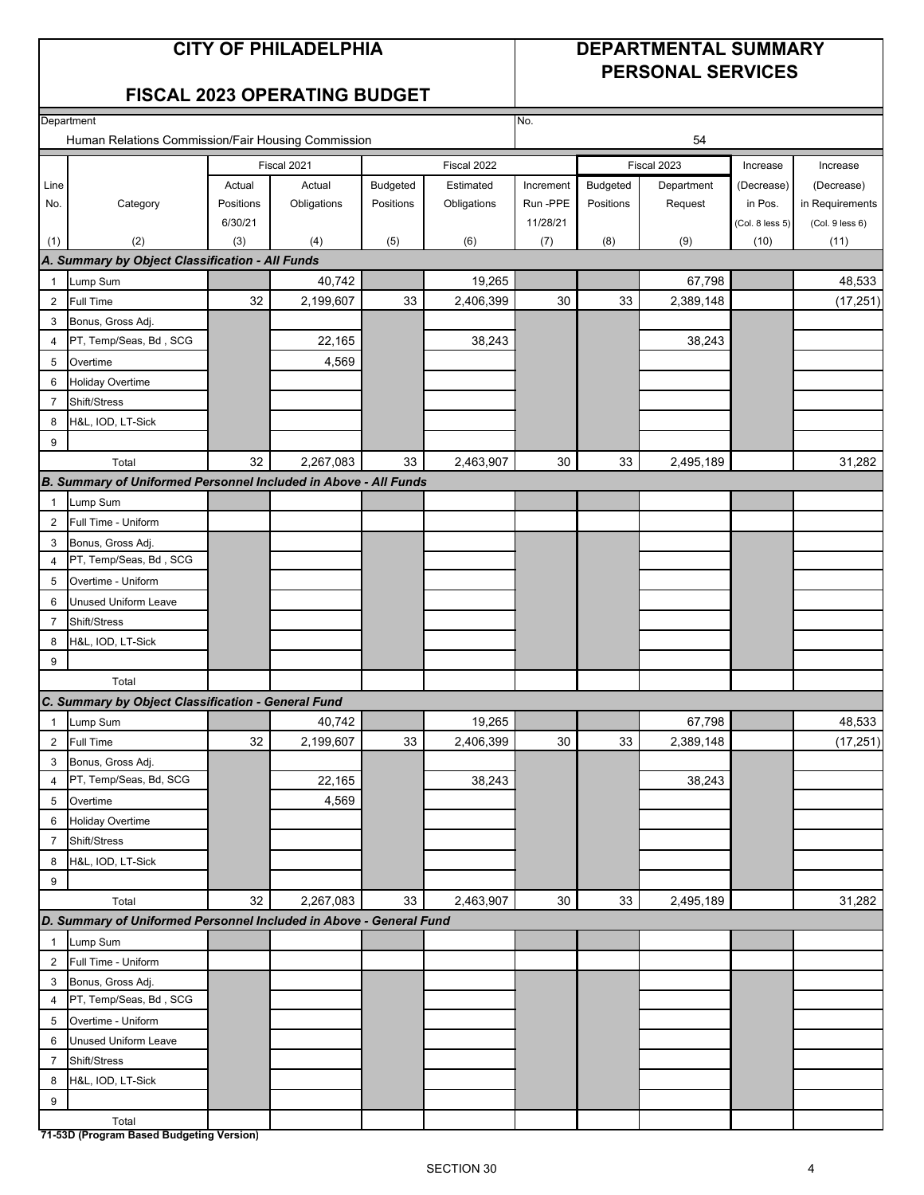### **CITY OF PHILADELPHIA DEPARTMENTAL SUMMARY PERSONAL SERVICES**

#### **FISCAL 2023 OPERATING BUDGET**

| Department     |                                                                    |           |             | No.       |             |           |                 |             |                 |                 |
|----------------|--------------------------------------------------------------------|-----------|-------------|-----------|-------------|-----------|-----------------|-------------|-----------------|-----------------|
|                | Human Relations Commission/Fair Housing Commission                 |           |             |           |             | 54        |                 |             |                 |                 |
|                |                                                                    |           | Fiscal 2021 |           | Fiscal 2022 |           |                 | Fiscal 2023 | Increase        | Increase        |
| Line           |                                                                    | Actual    | Actual      | Budgeted  | Estimated   | Increment | <b>Budgeted</b> | Department  | (Decrease)      | (Decrease)      |
| No.            | Category                                                           | Positions | Obligations | Positions | Obligations | Run -PPE  | Positions       | Request     | in Pos.         | in Requirements |
|                |                                                                    | 6/30/21   |             |           |             | 11/28/21  |                 |             | (Col. 8 less 5) | (Col. 9 less 6) |
| (1)            | (2)                                                                | (3)       | (4)         | (5)       | (6)         | (7)       | (8)             | (9)         | (10)            | (11)            |
|                | A. Summary by Object Classification - All Funds                    |           |             |           |             |           |                 |             |                 |                 |
| $\mathbf{1}$   | Lump Sum                                                           |           | 40,742      |           | 19,265      |           |                 | 67,798      |                 | 48,533          |
| $\overline{2}$ | <b>Full Time</b>                                                   | 32        | 2,199,607   | 33        | 2,406,399   | 30        | 33              | 2,389,148   |                 | (17, 251)       |
| 3              | Bonus, Gross Adj.                                                  |           |             |           |             |           |                 |             |                 |                 |
| 4              | PT, Temp/Seas, Bd, SCG                                             |           | 22,165      |           | 38,243      |           |                 | 38,243      |                 |                 |
| 5              | Overtime                                                           |           | 4,569       |           |             |           |                 |             |                 |                 |
| 6              | <b>Holiday Overtime</b>                                            |           |             |           |             |           |                 |             |                 |                 |
| $\overline{7}$ | Shift/Stress                                                       |           |             |           |             |           |                 |             |                 |                 |
| 8              | H&L, IOD, LT-Sick                                                  |           |             |           |             |           |                 |             |                 |                 |
| 9              |                                                                    |           |             |           |             |           |                 |             |                 |                 |
|                | Total                                                              | 32        | 2,267,083   | 33        | 2,463,907   | 30        | 33              | 2,495,189   |                 | 31,282          |
|                | B. Summary of Uniformed Personnel Included in Above - All Funds    |           |             |           |             |           |                 |             |                 |                 |
| $\mathbf{1}$   | Lump Sum                                                           |           |             |           |             |           |                 |             |                 |                 |
| $\overline{2}$ | Full Time - Uniform                                                |           |             |           |             |           |                 |             |                 |                 |
| 3              | Bonus, Gross Adj.                                                  |           |             |           |             |           |                 |             |                 |                 |
| $\overline{4}$ | PT, Temp/Seas, Bd, SCG                                             |           |             |           |             |           |                 |             |                 |                 |
| 5              | Overtime - Uniform                                                 |           |             |           |             |           |                 |             |                 |                 |
| 6              | <b>Unused Uniform Leave</b>                                        |           |             |           |             |           |                 |             |                 |                 |
| 7              | Shift/Stress                                                       |           |             |           |             |           |                 |             |                 |                 |
| 8              | H&L, IOD, LT-Sick                                                  |           |             |           |             |           |                 |             |                 |                 |
| 9              |                                                                    |           |             |           |             |           |                 |             |                 |                 |
|                | Total                                                              |           |             |           |             |           |                 |             |                 |                 |
|                | C. Summary by Object Classification - General Fund                 |           |             |           |             |           |                 |             |                 |                 |
| $\mathbf{1}$   | Lump Sum                                                           |           | 40,742      |           | 19,265      |           |                 | 67,798      |                 | 48,533          |
| $\overline{2}$ | <b>Full Time</b>                                                   | 32        | 2,199,607   | 33        | 2,406,399   | 30        | 33              | 2,389,148   |                 | (17, 251)       |
| 3              | Bonus, Gross Adj.                                                  |           |             |           |             |           |                 |             |                 |                 |
| $\overline{4}$ | PT, Temp/Seas, Bd, SCG                                             |           | 22,165      |           | 38,243      |           |                 | 38,243      |                 |                 |
| 5              | Overtime                                                           |           | 4,569       |           |             |           |                 |             |                 |                 |
| 6              | <b>Holiday Overtime</b>                                            |           |             |           |             |           |                 |             |                 |                 |
| $\overline{7}$ | Shift/Stress                                                       |           |             |           |             |           |                 |             |                 |                 |
| 8              | H&L, IOD, LT-Sick                                                  |           |             |           |             |           |                 |             |                 |                 |
| 9              |                                                                    |           |             |           |             |           |                 |             |                 |                 |
|                | Total                                                              | 32        | 2,267,083   | 33        | 2,463,907   | 30        | 33              | 2,495,189   |                 | 31,282          |
|                | D. Summary of Uniformed Personnel Included in Above - General Fund |           |             |           |             |           |                 |             |                 |                 |
| $\mathbf{1}$   | Lump Sum                                                           |           |             |           |             |           |                 |             |                 |                 |
| $\overline{2}$ | Full Time - Uniform                                                |           |             |           |             |           |                 |             |                 |                 |
| 3              | Bonus, Gross Adj.                                                  |           |             |           |             |           |                 |             |                 |                 |
| $\overline{4}$ | PT, Temp/Seas, Bd, SCG                                             |           |             |           |             |           |                 |             |                 |                 |
| 5              | Overtime - Uniform                                                 |           |             |           |             |           |                 |             |                 |                 |
| 6              | <b>Unused Uniform Leave</b>                                        |           |             |           |             |           |                 |             |                 |                 |
| $\overline{7}$ | Shift/Stress                                                       |           |             |           |             |           |                 |             |                 |                 |
| 8              | H&L, IOD, LT-Sick                                                  |           |             |           |             |           |                 |             |                 |                 |
| 9              |                                                                    |           |             |           |             |           |                 |             |                 |                 |
|                | Total                                                              |           |             |           |             |           |                 |             |                 |                 |
|                | 71-53D (Program Based Budgeting Version)                           |           |             |           |             |           |                 |             |                 |                 |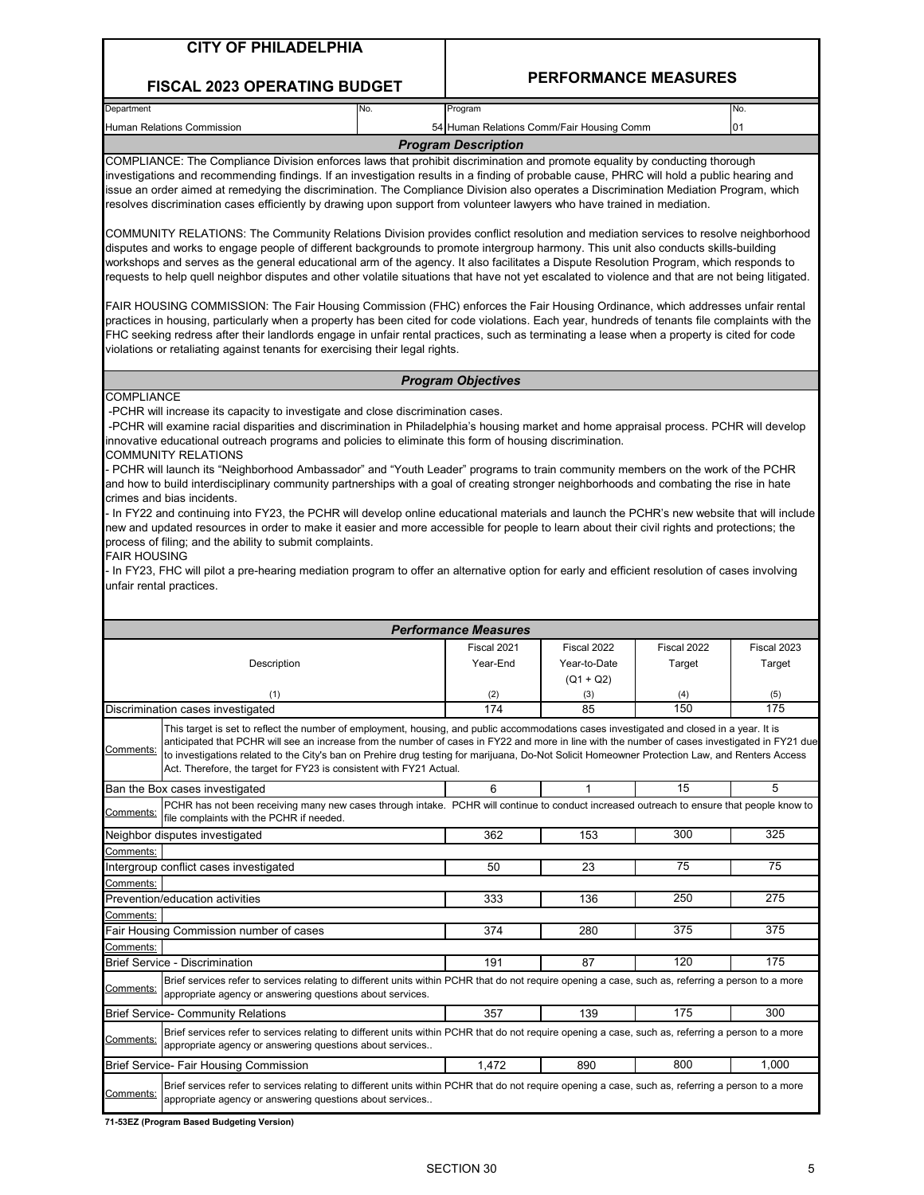| <b>CITY OF PHILADELPHIA</b>                                                                                                                                                                                                                                                                                                                                                                                                                                                                                                                                                                                                                                                                                                                                                                                                                                                                                                                                                                                                                                                                                                                                                                                                                                                                                                                                                                                                                                                                                                                                                                                                            |  |                                           |                             |                             |             |  |  |  |
|----------------------------------------------------------------------------------------------------------------------------------------------------------------------------------------------------------------------------------------------------------------------------------------------------------------------------------------------------------------------------------------------------------------------------------------------------------------------------------------------------------------------------------------------------------------------------------------------------------------------------------------------------------------------------------------------------------------------------------------------------------------------------------------------------------------------------------------------------------------------------------------------------------------------------------------------------------------------------------------------------------------------------------------------------------------------------------------------------------------------------------------------------------------------------------------------------------------------------------------------------------------------------------------------------------------------------------------------------------------------------------------------------------------------------------------------------------------------------------------------------------------------------------------------------------------------------------------------------------------------------------------|--|-------------------------------------------|-----------------------------|-----------------------------|-------------|--|--|--|
| <b>FISCAL 2023 OPERATING BUDGET</b>                                                                                                                                                                                                                                                                                                                                                                                                                                                                                                                                                                                                                                                                                                                                                                                                                                                                                                                                                                                                                                                                                                                                                                                                                                                                                                                                                                                                                                                                                                                                                                                                    |  |                                           |                             | <b>PERFORMANCE MEASURES</b> |             |  |  |  |
| Department<br>No.                                                                                                                                                                                                                                                                                                                                                                                                                                                                                                                                                                                                                                                                                                                                                                                                                                                                                                                                                                                                                                                                                                                                                                                                                                                                                                                                                                                                                                                                                                                                                                                                                      |  | Program                                   |                             |                             | No.         |  |  |  |
| Human Relations Commission                                                                                                                                                                                                                                                                                                                                                                                                                                                                                                                                                                                                                                                                                                                                                                                                                                                                                                                                                                                                                                                                                                                                                                                                                                                                                                                                                                                                                                                                                                                                                                                                             |  | 54 Human Relations Comm/Fair Housing Comm |                             |                             | 01          |  |  |  |
|                                                                                                                                                                                                                                                                                                                                                                                                                                                                                                                                                                                                                                                                                                                                                                                                                                                                                                                                                                                                                                                                                                                                                                                                                                                                                                                                                                                                                                                                                                                                                                                                                                        |  | <b>Program Description</b>                |                             |                             |             |  |  |  |
| COMPLIANCE: The Compliance Division enforces laws that prohibit discrimination and promote equality by conducting thorough<br>investigations and recommending findings. If an investigation results in a finding of probable cause, PHRC will hold a public hearing and<br>issue an order aimed at remedying the discrimination. The Compliance Division also operates a Discrimination Mediation Program, which<br>resolves discrimination cases efficiently by drawing upon support from volunteer lawyers who have trained in mediation.<br>COMMUNITY RELATIONS: The Community Relations Division provides conflict resolution and mediation services to resolve neighborhood<br>disputes and works to engage people of different backgrounds to promote intergroup harmony. This unit also conducts skills-building<br>workshops and serves as the general educational arm of the agency. It also facilitates a Dispute Resolution Program, which responds to<br>requests to help quell neighbor disputes and other volatile situations that have not yet escalated to violence and that are not being litigated.<br>FAIR HOUSING COMMISSION: The Fair Housing Commission (FHC) enforces the Fair Housing Ordinance, which addresses unfair rental<br>practices in housing, particularly when a property has been cited for code violations. Each year, hundreds of tenants file complaints with the<br>FHC seeking redress after their landlords engage in unfair rental practices, such as terminating a lease when a property is cited for code<br>violations or retaliating against tenants for exercising their legal rights. |  |                                           |                             |                             |             |  |  |  |
|                                                                                                                                                                                                                                                                                                                                                                                                                                                                                                                                                                                                                                                                                                                                                                                                                                                                                                                                                                                                                                                                                                                                                                                                                                                                                                                                                                                                                                                                                                                                                                                                                                        |  | <b>Program Objectives</b>                 |                             |                             |             |  |  |  |
| <b>COMPLIANCE</b><br>-PCHR will increase its capacity to investigate and close discrimination cases.<br>-PCHR will examine racial disparities and discrimination in Philadelphia's housing market and home appraisal process. PCHR will develop<br>innovative educational outreach programs and policies to eliminate this form of housing discrimination.<br>COMMUNITY RELATIONS<br>- PCHR will launch its "Neighborhood Ambassador" and "Youth Leader" programs to train community members on the work of the PCHR<br>and how to build interdisciplinary community partnerships with a goal of creating stronger neighborhoods and combating the rise in hate<br>crimes and bias incidents.<br>- In FY22 and continuing into FY23, the PCHR will develop online educational materials and launch the PCHR's new website that will include<br>new and updated resources in order to make it easier and more accessible for people to learn about their civil rights and protections; the<br>process of filing; and the ability to submit complaints.<br><b>FAIR HOUSING</b><br>- In FY23, FHC will pilot a pre-hearing mediation program to offer an alternative option for early and efficient resolution of cases involving<br>unfair rental practices.                                                                                                                                                                                                                                                                                                                                                                             |  |                                           |                             |                             |             |  |  |  |
|                                                                                                                                                                                                                                                                                                                                                                                                                                                                                                                                                                                                                                                                                                                                                                                                                                                                                                                                                                                                                                                                                                                                                                                                                                                                                                                                                                                                                                                                                                                                                                                                                                        |  | <b>Performance Measures</b>               |                             |                             |             |  |  |  |
|                                                                                                                                                                                                                                                                                                                                                                                                                                                                                                                                                                                                                                                                                                                                                                                                                                                                                                                                                                                                                                                                                                                                                                                                                                                                                                                                                                                                                                                                                                                                                                                                                                        |  | Fiscal 2021                               | Fiscal 2022                 | Fiscal 2022                 | Fiscal 2023 |  |  |  |
| Description                                                                                                                                                                                                                                                                                                                                                                                                                                                                                                                                                                                                                                                                                                                                                                                                                                                                                                                                                                                                                                                                                                                                                                                                                                                                                                                                                                                                                                                                                                                                                                                                                            |  | Year-End                                  | Year-to-Date<br>$(Q1 + Q2)$ | Target                      | Target      |  |  |  |
| (1)                                                                                                                                                                                                                                                                                                                                                                                                                                                                                                                                                                                                                                                                                                                                                                                                                                                                                                                                                                                                                                                                                                                                                                                                                                                                                                                                                                                                                                                                                                                                                                                                                                    |  | (2)                                       | (3)                         | (4)                         | (5)         |  |  |  |
| Discrimination cases investigated                                                                                                                                                                                                                                                                                                                                                                                                                                                                                                                                                                                                                                                                                                                                                                                                                                                                                                                                                                                                                                                                                                                                                                                                                                                                                                                                                                                                                                                                                                                                                                                                      |  | 174                                       | 85                          | 150                         | 175         |  |  |  |
| This target is set to reflect the number of employment, housing, and public accommodations cases investigated and closed in a year. It is<br>anticipated that PCHR will see an increase from the number of cases in FY22 and more in line with the number of cases investigated in FY21 due<br>Comments:<br>to investigations related to the City's ban on Prehire drug testing for marijuana, Do-Not Solicit Homeowner Protection Law, and Renters Access<br>Act. Therefore, the target for FY23 is consistent with FY21 Actual.                                                                                                                                                                                                                                                                                                                                                                                                                                                                                                                                                                                                                                                                                                                                                                                                                                                                                                                                                                                                                                                                                                      |  |                                           |                             |                             |             |  |  |  |
| Ban the Box cases investigated                                                                                                                                                                                                                                                                                                                                                                                                                                                                                                                                                                                                                                                                                                                                                                                                                                                                                                                                                                                                                                                                                                                                                                                                                                                                                                                                                                                                                                                                                                                                                                                                         |  | 6                                         | 1                           | 15                          | 5           |  |  |  |
| PCHR has not been receiving many new cases through intake. PCHR will continue to conduct increased outreach to ensure that people know to<br><u>Comments:</u><br>file complaints with the PCHR if needed.                                                                                                                                                                                                                                                                                                                                                                                                                                                                                                                                                                                                                                                                                                                                                                                                                                                                                                                                                                                                                                                                                                                                                                                                                                                                                                                                                                                                                              |  |                                           |                             |                             |             |  |  |  |
| Neighbor disputes investigated                                                                                                                                                                                                                                                                                                                                                                                                                                                                                                                                                                                                                                                                                                                                                                                                                                                                                                                                                                                                                                                                                                                                                                                                                                                                                                                                                                                                                                                                                                                                                                                                         |  | 362                                       | 153                         | 300                         | 325         |  |  |  |
| Comments:                                                                                                                                                                                                                                                                                                                                                                                                                                                                                                                                                                                                                                                                                                                                                                                                                                                                                                                                                                                                                                                                                                                                                                                                                                                                                                                                                                                                                                                                                                                                                                                                                              |  |                                           |                             |                             |             |  |  |  |
| Intergroup conflict cases investigated                                                                                                                                                                                                                                                                                                                                                                                                                                                                                                                                                                                                                                                                                                                                                                                                                                                                                                                                                                                                                                                                                                                                                                                                                                                                                                                                                                                                                                                                                                                                                                                                 |  | 50                                        | 23                          | 75                          | 75          |  |  |  |
| Comments:<br>Prevention/education activities                                                                                                                                                                                                                                                                                                                                                                                                                                                                                                                                                                                                                                                                                                                                                                                                                                                                                                                                                                                                                                                                                                                                                                                                                                                                                                                                                                                                                                                                                                                                                                                           |  | 333                                       | 136                         | 250                         | 275         |  |  |  |
| Comments:                                                                                                                                                                                                                                                                                                                                                                                                                                                                                                                                                                                                                                                                                                                                                                                                                                                                                                                                                                                                                                                                                                                                                                                                                                                                                                                                                                                                                                                                                                                                                                                                                              |  |                                           |                             |                             |             |  |  |  |
| Fair Housing Commission number of cases                                                                                                                                                                                                                                                                                                                                                                                                                                                                                                                                                                                                                                                                                                                                                                                                                                                                                                                                                                                                                                                                                                                                                                                                                                                                                                                                                                                                                                                                                                                                                                                                |  | 374                                       | 280                         | 375                         | 375         |  |  |  |
| Comments:                                                                                                                                                                                                                                                                                                                                                                                                                                                                                                                                                                                                                                                                                                                                                                                                                                                                                                                                                                                                                                                                                                                                                                                                                                                                                                                                                                                                                                                                                                                                                                                                                              |  |                                           |                             |                             |             |  |  |  |
| Brief Service - Discrimination                                                                                                                                                                                                                                                                                                                                                                                                                                                                                                                                                                                                                                                                                                                                                                                                                                                                                                                                                                                                                                                                                                                                                                                                                                                                                                                                                                                                                                                                                                                                                                                                         |  | 191                                       | 87                          | 120                         | 175         |  |  |  |
| Brief services refer to services relating to different units within PCHR that do not require opening a case, such as, referring a person to a more<br>Comments:<br>appropriate agency or answering questions about services.                                                                                                                                                                                                                                                                                                                                                                                                                                                                                                                                                                                                                                                                                                                                                                                                                                                                                                                                                                                                                                                                                                                                                                                                                                                                                                                                                                                                           |  |                                           |                             |                             |             |  |  |  |
| <b>Brief Service- Community Relations</b>                                                                                                                                                                                                                                                                                                                                                                                                                                                                                                                                                                                                                                                                                                                                                                                                                                                                                                                                                                                                                                                                                                                                                                                                                                                                                                                                                                                                                                                                                                                                                                                              |  | 357                                       | 139                         | 175                         | 300         |  |  |  |
| Brief services refer to services relating to different units within PCHR that do not require opening a case, such as, referring a person to a more<br>Comments:<br>appropriate agency or answering questions about services                                                                                                                                                                                                                                                                                                                                                                                                                                                                                                                                                                                                                                                                                                                                                                                                                                                                                                                                                                                                                                                                                                                                                                                                                                                                                                                                                                                                            |  |                                           |                             |                             |             |  |  |  |

Comments: Brief Service- Fair Housing Commission Brief services refer to services relating to different units within PCHR that do not require opening a case, such as, referring a person to a more appropriate agency or answering questions about services..

1,472 | 890 | 800 | 1,000

**71-53EZ (Program Based Budgeting Version)**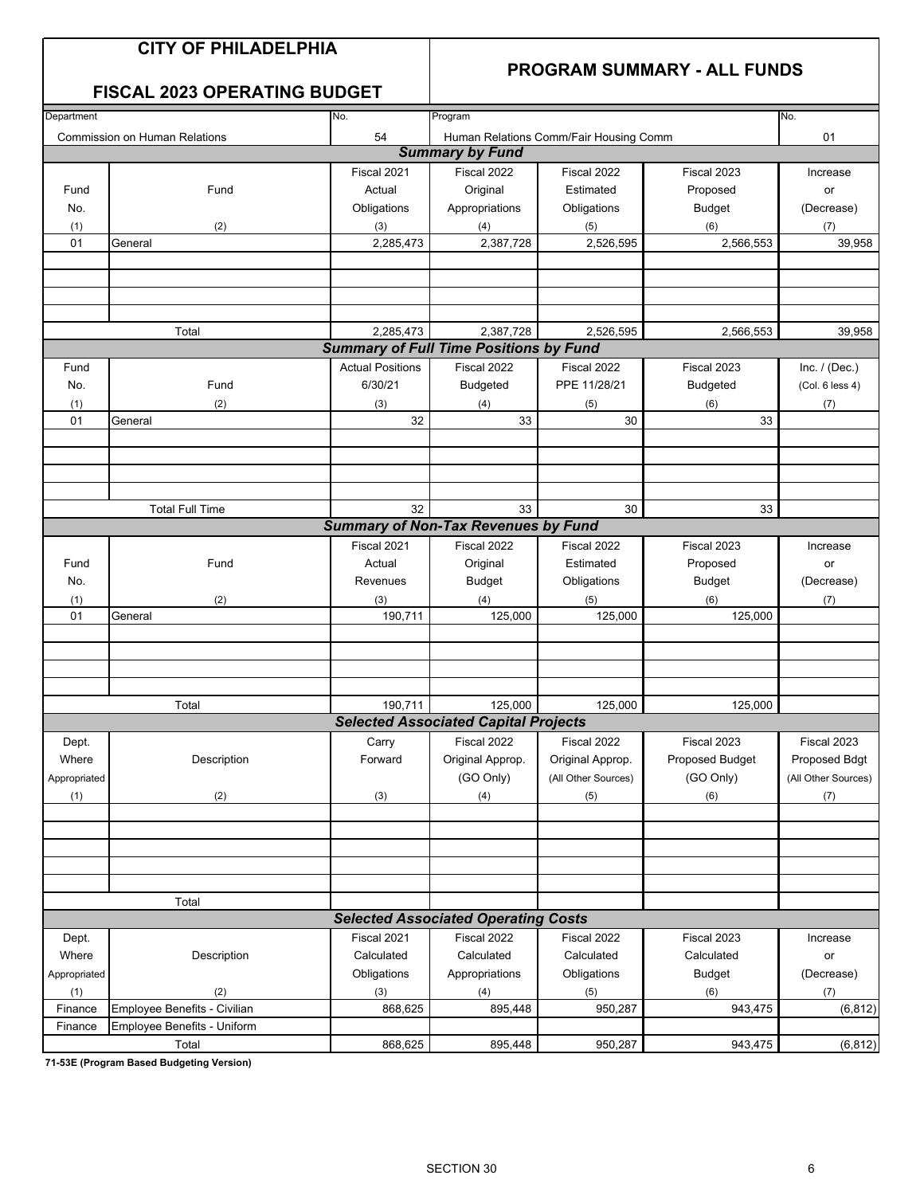|  |  | <b>CITY OF PHILADELPHIA</b> |  |  |
|--|--|-----------------------------|--|--|
|--|--|-----------------------------|--|--|

#### **PROGRAM SUMMARY - ALL FUNDS**

| <b>FISCAL 2023 OPERATING BUDGET</b>  |                 |                        |
|--------------------------------------|-----------------|------------------------|
| Department                           | IN <sub>o</sub> | Program                |
| <b>Commission on Human Relations</b> | 54              | <b>Human Relat</b>     |
|                                      |                 | <b>Summary by Full</b> |

| Department   |                                      | No.                     | Program                                       |                                        |                 | No.                 |
|--------------|--------------------------------------|-------------------------|-----------------------------------------------|----------------------------------------|-----------------|---------------------|
|              | <b>Commission on Human Relations</b> | 54                      |                                               | Human Relations Comm/Fair Housing Comm |                 | 01                  |
|              |                                      |                         | <b>Summary by Fund</b>                        |                                        |                 |                     |
|              |                                      | Fiscal 2021             | Fiscal 2022                                   | Fiscal 2022                            | Fiscal 2023     | Increase            |
| Fund         | Fund                                 | Actual                  | Original                                      | Estimated                              | Proposed        | or                  |
|              |                                      |                         |                                               |                                        |                 |                     |
| No.          |                                      | Obligations             | Appropriations                                | Obligations                            | <b>Budget</b>   | (Decrease)          |
| (1)          | (2)                                  | (3)                     | (4)                                           | (5)                                    | (6)             | (7)                 |
| 01           | General                              | 2,285,473               | 2,387,728                                     | 2,526,595                              | 2,566,553       | 39,958              |
|              |                                      |                         |                                               |                                        |                 |                     |
|              |                                      |                         |                                               |                                        |                 |                     |
|              |                                      |                         |                                               |                                        |                 |                     |
|              |                                      |                         |                                               |                                        |                 |                     |
|              | Total                                | 2,285,473               | 2,387,728                                     | 2,526,595                              | 2,566,553       | 39,958              |
|              |                                      |                         | <b>Summary of Full Time Positions by Fund</b> |                                        |                 |                     |
| Fund         |                                      | <b>Actual Positions</b> | Fiscal 2022                                   | Fiscal 2022                            | Fiscal 2023     |                     |
|              |                                      |                         |                                               |                                        |                 | Inc. $/$ (Dec.)     |
| No.          | Fund                                 | 6/30/21                 | <b>Budgeted</b>                               | PPE 11/28/21                           | <b>Budgeted</b> | (Col. 6 less 4)     |
| (1)          | (2)                                  | (3)                     | (4)                                           | (5)                                    | (6)             | (7)                 |
| 01           | General                              | 32                      | 33                                            | 30                                     | 33              |                     |
|              |                                      |                         |                                               |                                        |                 |                     |
|              |                                      |                         |                                               |                                        |                 |                     |
|              |                                      |                         |                                               |                                        |                 |                     |
|              |                                      |                         |                                               |                                        |                 |                     |
|              | <b>Total Full Time</b>               | 32                      | 33                                            | 30                                     | 33              |                     |
|              |                                      |                         | <b>Summary of Non-Tax Revenues by Fund</b>    |                                        |                 |                     |
|              |                                      | Fiscal 2021             | Fiscal 2022                                   | Fiscal 2022                            | Fiscal 2023     |                     |
|              |                                      |                         |                                               |                                        |                 | Increase            |
| Fund         | Fund                                 | Actual                  | Original                                      | Estimated                              | Proposed        | or                  |
| No.          |                                      | Revenues                | <b>Budget</b>                                 | Obligations                            | <b>Budget</b>   | (Decrease)          |
| (1)          | (2)                                  | (3)                     | (4)                                           | (5)                                    | (6)             | (7)                 |
| 01           | General                              | 190,711                 | 125,000                                       | 125,000                                | 125,000         |                     |
|              |                                      |                         |                                               |                                        |                 |                     |
|              |                                      |                         |                                               |                                        |                 |                     |
|              |                                      |                         |                                               |                                        |                 |                     |
|              |                                      |                         |                                               |                                        |                 |                     |
|              | Total                                | 190,711                 | 125,000                                       | 125,000                                | 125,000         |                     |
|              |                                      |                         | <b>Selected Associated Capital Projects</b>   |                                        |                 |                     |
|              |                                      |                         |                                               |                                        |                 |                     |
| Dept.        |                                      | Carry                   | Fiscal 2022                                   | Fiscal 2022                            | Fiscal 2023     | Fiscal 2023         |
| Where        | Description                          | Forward                 | Original Approp.                              | Original Approp.                       | Proposed Budget | Proposed Bdgt       |
| Appropriated |                                      |                         | (GO Only)                                     | (All Other Sources)                    | (GO Only)       | (All Other Sources) |
| (1)          | (2)                                  | (3)                     | (4)                                           | (5)                                    | (6)             | (7)                 |
|              |                                      |                         |                                               |                                        |                 |                     |
|              |                                      |                         |                                               |                                        |                 |                     |
|              |                                      |                         |                                               |                                        |                 |                     |
|              |                                      |                         |                                               |                                        |                 |                     |
|              |                                      |                         |                                               |                                        |                 |                     |
|              | Total                                |                         |                                               |                                        |                 |                     |
|              |                                      |                         |                                               |                                        |                 |                     |
|              |                                      |                         | <b>Selected Associated Operating Costs</b>    |                                        |                 |                     |
| Dept.        |                                      | Fiscal 2021             | Fiscal 2022                                   | Fiscal 2022                            | Fiscal 2023     | Increase            |
| Where        | Description                          | Calculated              | Calculated                                    | Calculated                             | Calculated      | or                  |
| Appropriated |                                      | Obligations             | Appropriations                                | Obligations                            | <b>Budget</b>   | (Decrease)          |
| (1)          | (2)                                  | (3)                     | (4)                                           | (5)                                    | (6)             | (7)                 |
| Finance      | Employee Benefits - Civilian         | 868,625                 | 895,448                                       | 950,287                                | 943,475         | (6, 812)            |
| Finance      | Employee Benefits - Uniform          |                         |                                               |                                        |                 |                     |
|              | Total                                | 868,625                 | 895,448                                       | 950,287                                | 943,475         | (6, 812)            |
|              |                                      |                         |                                               |                                        |                 |                     |

**71-53E (Program Based Budgeting Version)**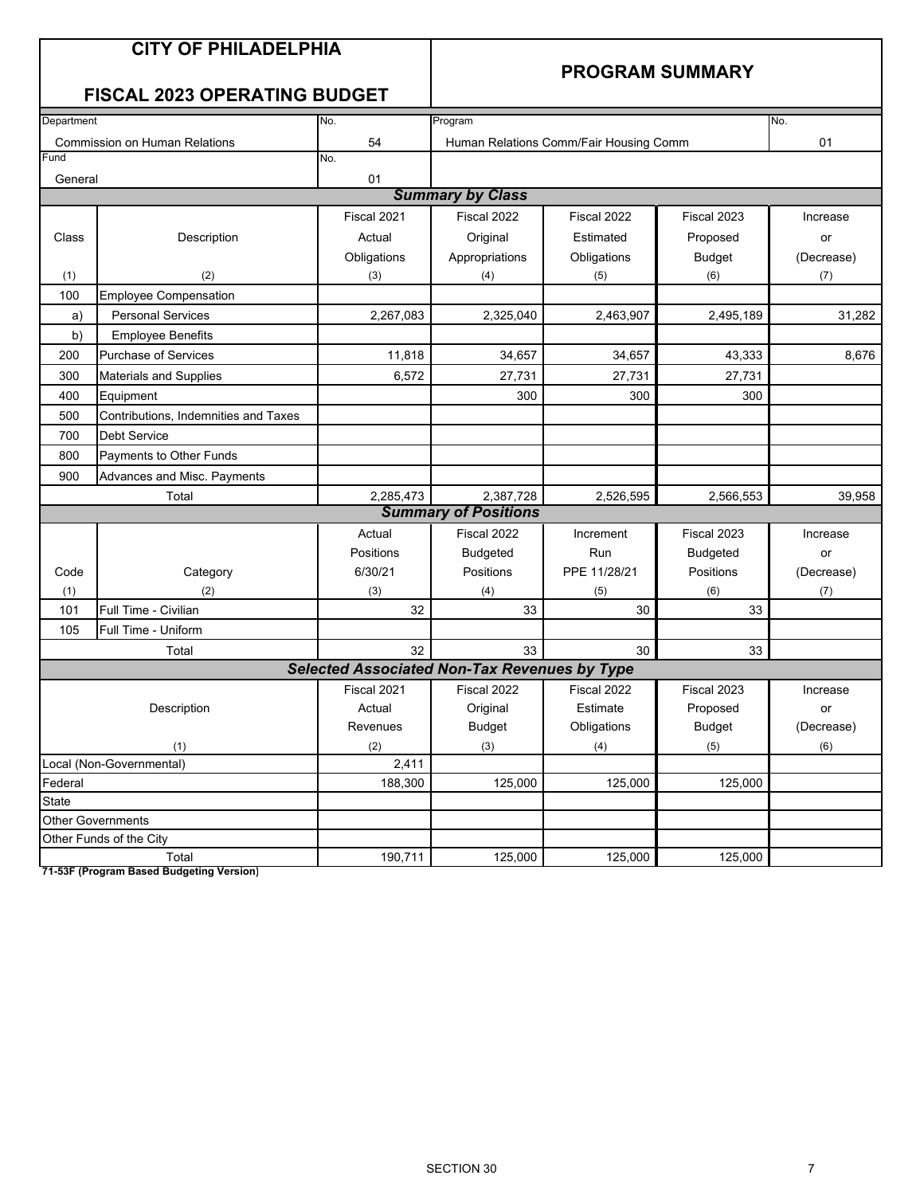|            | <b>CITY OF PHILADELPHIA</b><br><b>FISCAL 2023 OPERATING BUDGET</b> |                                                     | <b>PROGRAM SUMMARY</b>      |                                        |                 |            |  |
|------------|--------------------------------------------------------------------|-----------------------------------------------------|-----------------------------|----------------------------------------|-----------------|------------|--|
| Department |                                                                    | No.                                                 | Program                     |                                        |                 | No.        |  |
|            | <b>Commission on Human Relations</b>                               | 54                                                  |                             | Human Relations Comm/Fair Housing Comm |                 | 01         |  |
| Fund       |                                                                    | No.                                                 |                             |                                        |                 |            |  |
| General    |                                                                    | 01                                                  |                             |                                        |                 |            |  |
|            |                                                                    |                                                     | <b>Summary by Class</b>     |                                        |                 |            |  |
|            |                                                                    | Fiscal 2021                                         | Fiscal 2022                 | Fiscal 2022                            | Fiscal 2023     | Increase   |  |
| Class      | Description                                                        | Actual                                              | Original                    | Estimated                              | Proposed        | or         |  |
|            |                                                                    | Obligations                                         | Appropriations              | Obligations                            | <b>Budget</b>   | (Decrease) |  |
| (1)        | (2)                                                                | (3)                                                 | (4)                         | (5)                                    | (6)             | (7)        |  |
| 100        | <b>Employee Compensation</b>                                       |                                                     |                             |                                        |                 |            |  |
| a)         | <b>Personal Services</b>                                           | 2,267,083                                           | 2,325,040                   | 2,463,907                              | 2,495,189       | 31,282     |  |
| b)         | <b>Employee Benefits</b>                                           |                                                     |                             |                                        |                 |            |  |
| 200        | <b>Purchase of Services</b>                                        | 11,818                                              | 34,657                      | 34,657                                 | 43,333          | 8,676      |  |
| 300        | Materials and Supplies                                             | 6,572                                               | 27,731                      | 27,731                                 | 27,731          |            |  |
| 400        | Equipment                                                          |                                                     | 300                         | 300                                    | 300             |            |  |
| 500        | Contributions, Indemnities and Taxes                               |                                                     |                             |                                        |                 |            |  |
| 700        | <b>Debt Service</b>                                                |                                                     |                             |                                        |                 |            |  |
| 800        | Payments to Other Funds                                            |                                                     |                             |                                        |                 |            |  |
| 900        | Advances and Misc. Payments                                        |                                                     |                             |                                        |                 |            |  |
|            | Total                                                              | 2,285,473                                           | 2,387,728                   | 2,526,595                              | 2,566,553       | 39,958     |  |
|            |                                                                    |                                                     | <b>Summary of Positions</b> |                                        |                 |            |  |
|            |                                                                    | Actual                                              | Fiscal 2022                 | Increment                              | Fiscal 2023     | Increase   |  |
|            |                                                                    | Positions                                           | <b>Budgeted</b>             | Run                                    | <b>Budgeted</b> | or         |  |
| Code       | Category<br>(2)                                                    | 6/30/21                                             | Positions                   | PPE 11/28/21                           | Positions       | (Decrease) |  |
| (1)<br>101 | Full Time - Civilian                                               | (3)<br>32                                           | (4)<br>33                   | (5)<br>30                              | (6)<br>33       | (7)        |  |
| 105        | Full Time - Uniform                                                |                                                     |                             |                                        |                 |            |  |
|            | Total                                                              | 32                                                  | 33                          | 30                                     | 33              |            |  |
|            |                                                                    | <b>Selected Associated Non-Tax Revenues by Type</b> |                             |                                        |                 |            |  |
|            |                                                                    | Fiscal 2021                                         | Fiscal 2022                 | Fiscal 2022                            | Fiscal 2023     | Increase   |  |
|            | Description                                                        | Actual                                              | Original                    | Estimate                               | Proposed        | or         |  |
|            |                                                                    | Revenues                                            | <b>Budget</b>               | Obligations                            | <b>Budget</b>   | (Decrease) |  |
|            | (1)                                                                | (2)                                                 | (3)                         | (4)                                    | (5)             | (6)        |  |
|            | Local (Non-Governmental)                                           | 2,411                                               |                             |                                        |                 |            |  |
| Federal    |                                                                    | 188,300                                             | 125,000                     | 125,000                                | 125,000         |            |  |
| State      |                                                                    |                                                     |                             |                                        |                 |            |  |
|            | <b>Other Governments</b>                                           |                                                     |                             |                                        |                 |            |  |
|            | Other Funds of the City                                            |                                                     |                             |                                        |                 |            |  |
|            | Total                                                              | 190,711                                             | 125,000                     | 125,000                                | 125,000         |            |  |

**71-53F (Program Based Budgeting Version)**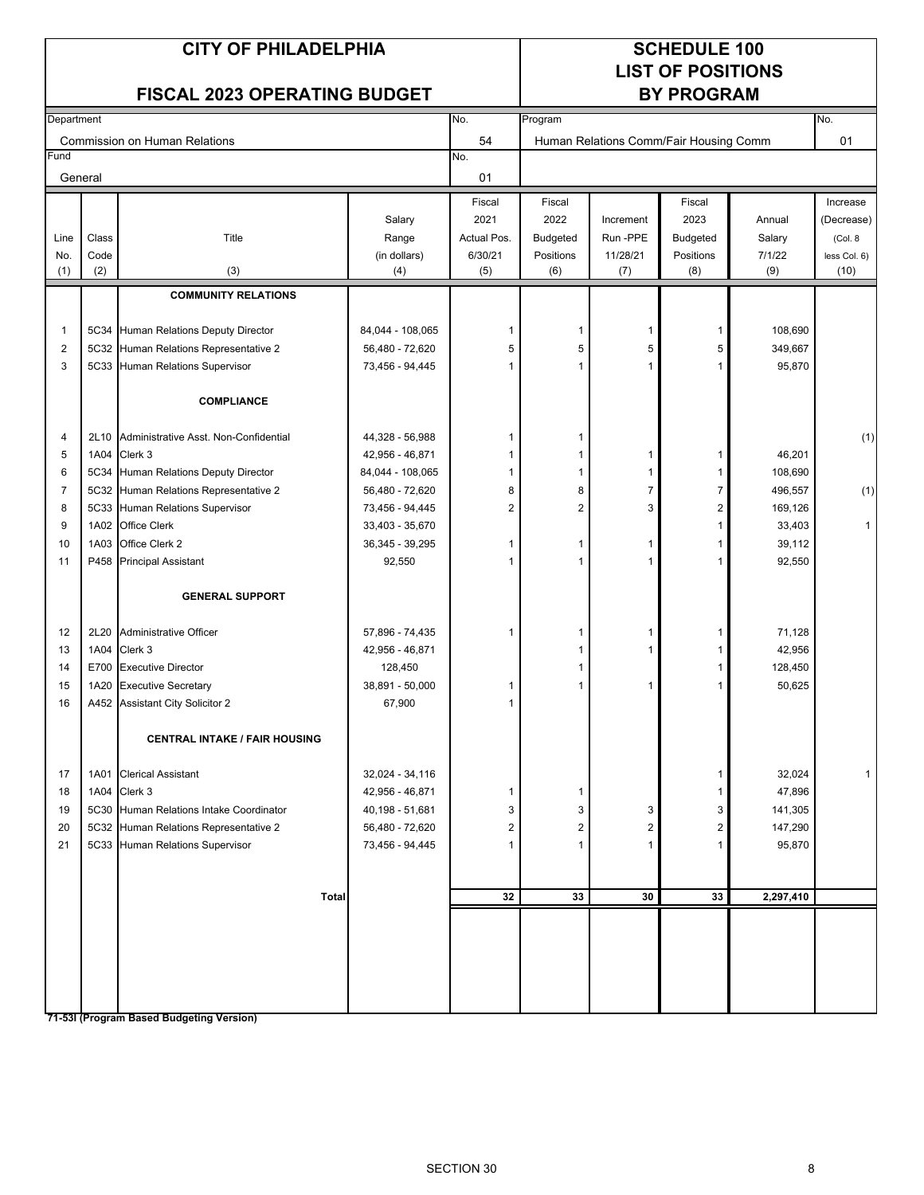#### **CITY OF PHILADELPHIA SCHEDULE 100**

# **LIST OF POSITIONS**

#### FISCAL 2023 OPERATING BUDGET **BY PROGRAM**

| Department |       |                                            | No.              | Program        |                |                |                                        | No.       |              |
|------------|-------|--------------------------------------------|------------------|----------------|----------------|----------------|----------------------------------------|-----------|--------------|
|            |       | Commission on Human Relations              |                  | 54             |                |                | Human Relations Comm/Fair Housing Comm |           | 01           |
| Fund       |       |                                            |                  | No.            |                |                |                                        |           |              |
| General    |       |                                            |                  | 01             |                |                |                                        |           |              |
|            |       |                                            |                  | Fiscal         | Fiscal         |                | Fiscal                                 |           | Increase     |
|            |       |                                            | Salary           | 2021           | 2022           | Increment      | 2023                                   | Annual    | (Decrease)   |
| Line       | Class | Title                                      | Range            | Actual Pos.    | Budgeted       | Run -PPE       | Budgeted                               | Salary    | (Col. 8)     |
| No.        | Code  |                                            | (in dollars)     | 6/30/21        | Positions      | 11/28/21       | Positions                              | 7/1/22    | less Col. 6) |
| (1)        | (2)   | (3)                                        | (4)              | (5)            | (6)            | (7)            | (8)                                    | (9)       | (10)         |
|            |       | <b>COMMUNITY RELATIONS</b>                 |                  |                |                |                |                                        |           |              |
|            |       |                                            |                  |                |                |                |                                        |           |              |
| 1          |       | 5C34 Human Relations Deputy Director       | 84,044 - 108,065 | -1             | 1              | $\mathbf{1}$   | $\mathbf{1}$                           | 108,690   |              |
| 2          |       | 5C32 Human Relations Representative 2      | 56,480 - 72,620  | 5              | 5              | 5              | 5                                      | 349,667   |              |
| 3          |       | 5C33 Human Relations Supervisor            | 73,456 - 94,445  | -1             | 1              | $\mathbf{1}$   | 1                                      | 95,870    |              |
|            |       |                                            |                  |                |                |                |                                        |           |              |
|            |       | <b>COMPLIANCE</b>                          |                  |                |                |                |                                        |           |              |
| 4          |       | 2L10 Administrative Asst. Non-Confidential | 44,328 - 56,988  | 1              | 1              |                |                                        |           | (1)          |
| 5          | 1A04  | Clerk 3                                    | 42,956 - 46,871  | 1              | 1              | $\mathbf{1}$   | $\mathbf{1}$                           | 46,201    |              |
| 6          |       | 5C34 Human Relations Deputy Director       | 84,044 - 108,065 | 1              | 1              | $\mathbf{1}$   | 1                                      | 108,690   |              |
| 7          |       | 5C32 Human Relations Representative 2      | 56,480 - 72,620  | 8              | 8              | $\overline{7}$ | $\overline{7}$                         | 496,557   | (1)          |
| 8          |       | 5C33 Human Relations Supervisor            | 73,456 - 94,445  | $\overline{2}$ | $\overline{2}$ | 3              | $\overline{2}$                         | 169,126   |              |
| 9          | 1A02  | <b>Office Clerk</b>                        | 33,403 - 35,670  |                |                |                | 1                                      | 33,403    | 1            |
| 10         | 1A03  | Office Clerk 2                             | 36,345 - 39,295  | -1             | 1              | $\mathbf{1}$   | 1                                      | 39,112    |              |
| 11         |       | P458 Principal Assistant                   | 92,550           | 1              | 1              | $\mathbf{1}$   | 1                                      | 92,550    |              |
|            |       |                                            |                  |                |                |                |                                        |           |              |
|            |       | <b>GENERAL SUPPORT</b>                     |                  |                |                |                |                                        |           |              |
| 12         | 2L20  | Administrative Officer                     | 57,896 - 74,435  | $\overline{1}$ | 1              | $\mathbf{1}$   | 1                                      | 71,128    |              |
| 13         | 1A04  | Clerk 3                                    | 42,956 - 46,871  |                | 1              | 1              | 1                                      | 42,956    |              |
| 14         |       | E700 Executive Director                    | 128,450          |                | 1              |                | 1                                      | 128,450   |              |
| 15         |       | 1A20 Executive Secretary                   | 38,891 - 50,000  | -1             | 1              | $\mathbf{1}$   | 1                                      | 50,625    |              |
| 16         |       | A452 Assistant City Solicitor 2            | 67,900           | -1             |                |                |                                        |           |              |
|            |       | <b>CENTRAL INTAKE / FAIR HOUSING</b>       |                  |                |                |                |                                        |           |              |
|            |       |                                            |                  |                |                |                |                                        |           |              |
| 17         |       | 1A01 Clerical Assistant                    | 32,024 - 34,116  |                |                |                | 1                                      | 32,024    | 1            |
| 18         |       | 1A04 Clerk 3                               | 42,956 - 46,871  | $\overline{1}$ | 1              |                |                                        | 47,896    |              |
| 19         |       | 5C30 Human Relations Intake Coordinator    | 40,198 - 51,681  | 3              | 3              | 3              | 3                                      | 141,305   |              |
| 20         |       | 5C32 Human Relations Representative 2      | 56,480 - 72,620  | 2              | 2              | 2              | 2                                      | 147,290   |              |
| 21         |       | 5C33 Human Relations Supervisor            | 73,456 - 94,445  |                |                | 1              | 1                                      | 95,870    |              |
|            |       |                                            |                  |                |                |                |                                        |           |              |
|            |       | <b>Total</b>                               |                  | 32             | 33             | 30             | 33                                     | 2,297,410 |              |
|            |       |                                            |                  |                |                |                |                                        |           |              |
|            |       |                                            |                  |                |                |                |                                        |           |              |
|            |       |                                            |                  |                |                |                |                                        |           |              |
|            |       |                                            |                  |                |                |                |                                        |           |              |
|            |       |                                            |                  |                |                |                |                                        |           |              |
|            |       | 71-53I (Program Based Budgeting Version)   |                  |                |                |                |                                        |           |              |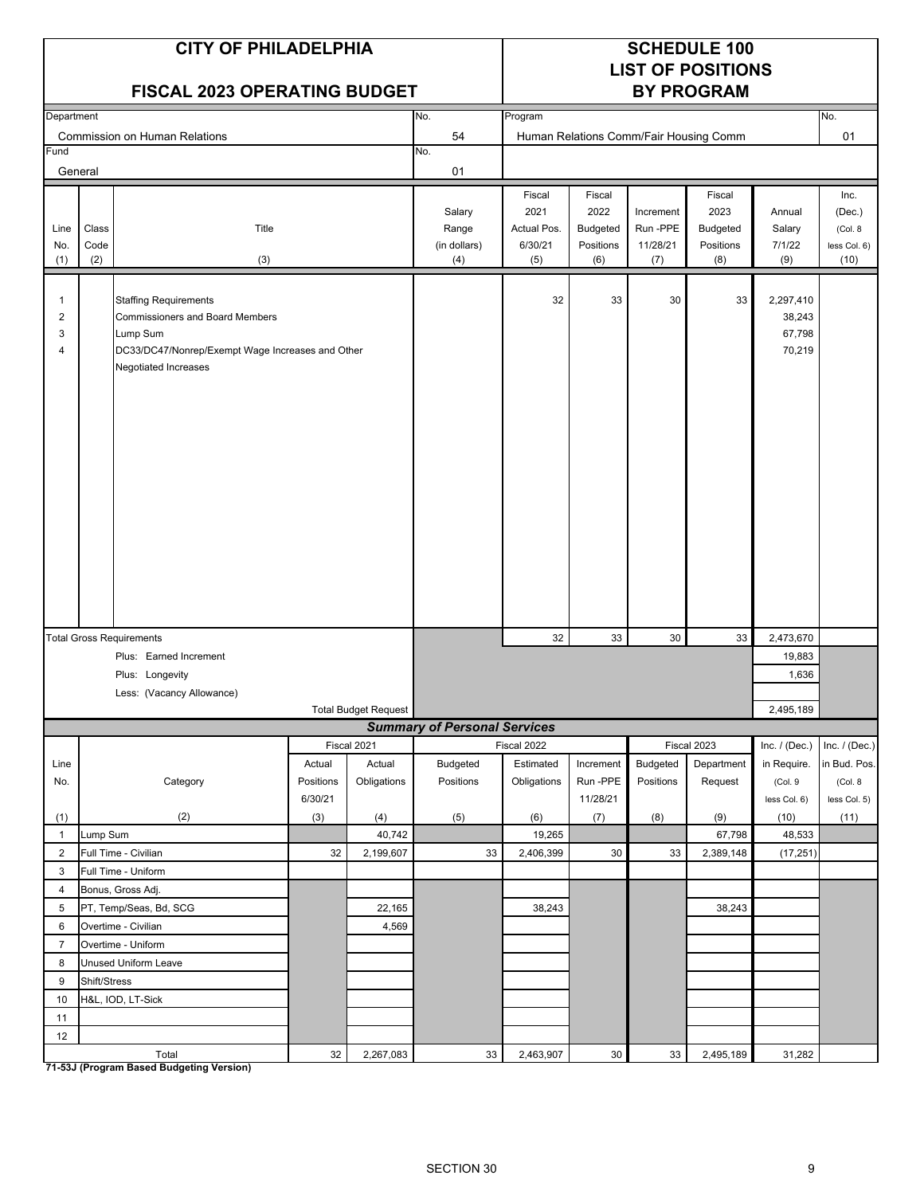|                                                   |                                                                                                                                                                | <b>CITY OF PHILADELPHIA</b><br><b>FISCAL 2023 OPERATING BUDGET</b> |                     |                             |                                        |                                                 |                                                       |                                         | <b>SCHEDULE 100</b><br><b>LIST OF POSITIONS</b><br><b>BY PROGRAM</b> |                                   |                                                   |  |
|---------------------------------------------------|----------------------------------------------------------------------------------------------------------------------------------------------------------------|--------------------------------------------------------------------|---------------------|-----------------------------|----------------------------------------|-------------------------------------------------|-------------------------------------------------------|-----------------------------------------|----------------------------------------------------------------------|-----------------------------------|---------------------------------------------------|--|
| Department                                        |                                                                                                                                                                |                                                                    |                     |                             | No.                                    | Program                                         |                                                       |                                         |                                                                      |                                   | No.                                               |  |
| Fund                                              |                                                                                                                                                                | <b>Commission on Human Relations</b>                               |                     |                             | 54<br>No.                              |                                                 |                                                       |                                         | Human Relations Comm/Fair Housing Comm                               |                                   | 01                                                |  |
| General                                           |                                                                                                                                                                |                                                                    |                     |                             | 01                                     |                                                 |                                                       |                                         |                                                                      |                                   |                                                   |  |
| Line<br>No.<br>(1)                                | Class<br>Code<br>(2)                                                                                                                                           | Title<br>(3)                                                       |                     |                             | Salary<br>Range<br>(in dollars)<br>(4) | Fiscal<br>2021<br>Actual Pos.<br>6/30/21<br>(5) | Fiscal<br>2022<br><b>Budgeted</b><br>Positions<br>(6) | Increment<br>Run-PPE<br>11/28/21<br>(7) | Fiscal<br>2023<br><b>Budgeted</b><br>Positions<br>(8)                | Annual<br>Salary<br>7/1/22<br>(9) | Inc.<br>(Dec.)<br>(Col. 8<br>less Col. 6)<br>(10) |  |
| $\mathbf{1}$<br>$\overline{\mathbf{c}}$<br>3<br>4 | <b>Staffing Requirements</b><br><b>Commissioners and Board Members</b><br>Lump Sum<br>DC33/DC47/Nonrep/Exempt Wage Increases and Other<br>Negotiated Increases |                                                                    |                     |                             | 32                                     | 33                                              | 30                                                    | 33                                      | 2,297,410<br>38,243<br>67,798<br>70,219                              |                                   |                                                   |  |
|                                                   |                                                                                                                                                                | <b>Total Gross Requirements</b>                                    |                     |                             |                                        | 32                                              | 33                                                    | 30                                      | 33                                                                   | 2,473,670                         |                                                   |  |
|                                                   |                                                                                                                                                                | Plus: Earned Increment                                             |                     |                             |                                        |                                                 |                                                       |                                         |                                                                      | 19,883                            |                                                   |  |
|                                                   |                                                                                                                                                                | Plus: Longevity                                                    |                     |                             |                                        | 1,636                                           |                                                       |                                         |                                                                      |                                   |                                                   |  |
|                                                   |                                                                                                                                                                | Less: (Vacancy Allowance)                                          |                     |                             |                                        |                                                 |                                                       |                                         |                                                                      |                                   |                                                   |  |
|                                                   |                                                                                                                                                                |                                                                    |                     | <b>Total Budget Request</b> |                                        |                                                 |                                                       |                                         |                                                                      | 2,495,189                         |                                                   |  |
|                                                   |                                                                                                                                                                |                                                                    |                     |                             | <b>Summary of Personal Services</b>    |                                                 |                                                       |                                         |                                                                      |                                   |                                                   |  |
|                                                   |                                                                                                                                                                |                                                                    |                     | Fiscal 2021                 |                                        | Fiscal 2022                                     | Increment                                             |                                         | Fiscal 2023                                                          | Inc. $/$ (Dec.)                   | Inc. / (Dec.)<br>in Bud. Pos.                     |  |
| Line<br>No.                                       |                                                                                                                                                                | Category                                                           | Actual<br>Positions | Actual<br>Obligations       | <b>Budgeted</b><br>Positions           | Estimated<br>Obligations                        | Run-PPE                                               | Budgeted<br>Positions                   | Department<br>Request                                                | in Require.<br>(Col. 9            | (Col. 8)                                          |  |
|                                                   |                                                                                                                                                                |                                                                    | 6/30/21             |                             |                                        |                                                 | 11/28/21                                              |                                         |                                                                      | less Col. 6)                      | less Col. 5)                                      |  |
| (1)                                               |                                                                                                                                                                | (2)                                                                | (3)                 | (4)                         | (5)                                    | (6)                                             | (7)                                                   | (8)                                     | (9)                                                                  | (10)                              | (11)                                              |  |
| $\mathbf{1}$                                      | Lump Sum                                                                                                                                                       |                                                                    |                     | 40,742                      |                                        | 19,265                                          |                                                       |                                         | 67,798                                                               | 48,533                            |                                                   |  |
| $\overline{2}$                                    |                                                                                                                                                                | Full Time - Civilian                                               | 32                  | 2,199,607                   | 33                                     | 2,406,399                                       | 30                                                    | 33                                      | 2,389,148                                                            | (17, 251)                         |                                                   |  |
| 3                                                 |                                                                                                                                                                | Full Time - Uniform                                                |                     |                             |                                        |                                                 |                                                       |                                         |                                                                      |                                   |                                                   |  |
| $\overline{4}$                                    |                                                                                                                                                                | Bonus, Gross Adj.                                                  |                     |                             |                                        |                                                 |                                                       |                                         |                                                                      |                                   |                                                   |  |
| 5                                                 |                                                                                                                                                                | PT, Temp/Seas, Bd, SCG                                             |                     | 22,165                      |                                        | 38,243                                          |                                                       |                                         | 38,243                                                               |                                   |                                                   |  |
| 6                                                 |                                                                                                                                                                | Overtime - Civilian                                                |                     | 4,569                       |                                        |                                                 |                                                       |                                         |                                                                      |                                   |                                                   |  |
| $\overline{7}$                                    |                                                                                                                                                                | Overtime - Uniform                                                 |                     |                             |                                        |                                                 |                                                       |                                         |                                                                      |                                   |                                                   |  |
| 8                                                 |                                                                                                                                                                | Unused Uniform Leave                                               |                     |                             |                                        |                                                 |                                                       |                                         |                                                                      |                                   |                                                   |  |
| 9                                                 | Shift/Stress                                                                                                                                                   |                                                                    |                     |                             |                                        |                                                 |                                                       |                                         |                                                                      |                                   |                                                   |  |
| 10                                                |                                                                                                                                                                | H&L, IOD, LT-Sick                                                  |                     |                             |                                        |                                                 |                                                       |                                         |                                                                      |                                   |                                                   |  |
| 11<br>12                                          |                                                                                                                                                                |                                                                    |                     |                             |                                        |                                                 |                                                       |                                         |                                                                      |                                   |                                                   |  |
|                                                   |                                                                                                                                                                | Total                                                              | 32                  | 2,267,083                   | $33\,$                                 | 2,463,907                                       | $30\,$                                                | 33                                      | 2,495,189                                                            | 31,282                            |                                                   |  |

**71-53J (Program Based Budgeting Version)**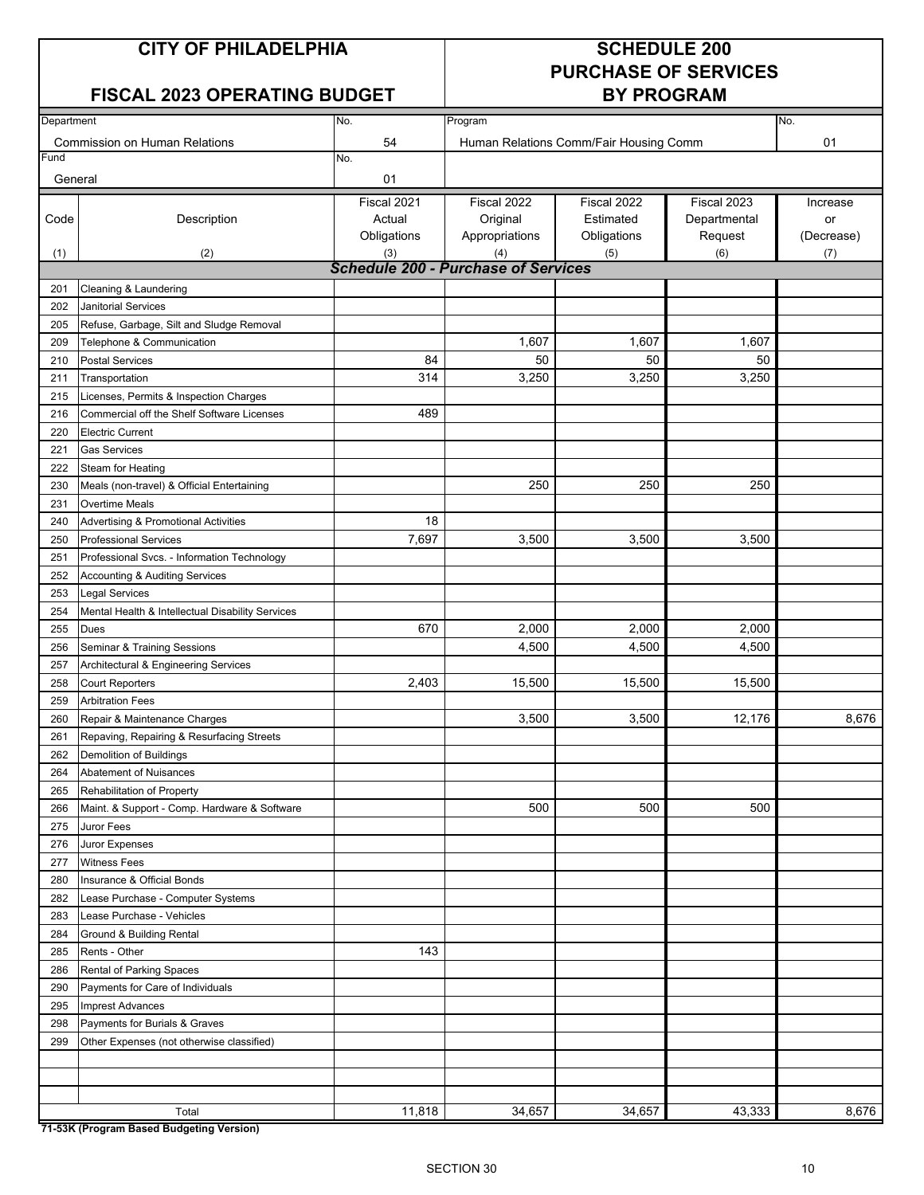## **CITY OF PHILADELPHIA SCHEDULE 200**

### **FISCAL 2023 OPERATING BUDGET BY PROGRAM**

# **PURCHASE OF SERVICES**

| Department |                                                                | No.                                        | Program        |                                        |              | No.        |
|------------|----------------------------------------------------------------|--------------------------------------------|----------------|----------------------------------------|--------------|------------|
|            | <b>Commission on Human Relations</b>                           | 54                                         |                | Human Relations Comm/Fair Housing Comm |              | 01         |
| Fund       |                                                                | No.                                        |                |                                        |              |            |
| General    |                                                                | 01                                         |                |                                        |              |            |
|            |                                                                | Fiscal 2021                                | Fiscal 2022    | Fiscal 2022                            | Fiscal 2023  | Increase   |
| Code       | Description                                                    | Actual                                     | Original       | Estimated                              | Departmental | or         |
|            |                                                                | Obligations                                | Appropriations | Obligations                            | Request      | (Decrease) |
| (1)        | (2)                                                            | (3)                                        | (4)            | (5)                                    | (6)          | (7)        |
|            |                                                                | <b>Schedule 200 - Purchase of Services</b> |                |                                        |              |            |
| 201        | Cleaning & Laundering                                          |                                            |                |                                        |              |            |
| 202        | <b>Janitorial Services</b>                                     |                                            |                |                                        |              |            |
| 205        | Refuse, Garbage, Silt and Sludge Removal                       |                                            |                |                                        |              |            |
| 209        | Telephone & Communication                                      |                                            | 1,607          | 1,607                                  | 1,607        |            |
| 210        | <b>Postal Services</b>                                         | 84                                         | 50             | 50                                     | 50           |            |
| 211        | Transportation                                                 | 314                                        | 3,250          | 3,250                                  | 3,250        |            |
| 215        | Licenses, Permits & Inspection Charges                         |                                            |                |                                        |              |            |
| 216        | Commercial off the Shelf Software Licenses                     | 489                                        |                |                                        |              |            |
| 220        | <b>Electric Current</b>                                        |                                            |                |                                        |              |            |
| 221        | <b>Gas Services</b>                                            |                                            |                |                                        |              |            |
| 222        | Steam for Heating                                              |                                            |                |                                        |              |            |
| 230        | Meals (non-travel) & Official Entertaining                     |                                            | 250            | 250                                    | 250          |            |
| 231        | Overtime Meals                                                 | 18                                         |                |                                        |              |            |
| 240        | <b>Advertising &amp; Promotional Activities</b>                |                                            |                |                                        |              |            |
| 250        | <b>Professional Services</b>                                   | 7,697                                      | 3,500          | 3,500                                  | 3,500        |            |
| 251        | Professional Svcs. - Information Technology                    |                                            |                |                                        |              |            |
| 252        | <b>Accounting &amp; Auditing Services</b>                      |                                            |                |                                        |              |            |
| 253        | Legal Services                                                 |                                            |                |                                        |              |            |
| 254        | Mental Health & Intellectual Disability Services               | 670                                        | 2,000          | 2,000                                  | 2,000        |            |
| 255        | Dues                                                           |                                            | 4,500          | 4,500                                  | 4,500        |            |
| 256<br>257 | Seminar & Training Sessions                                    |                                            |                |                                        |              |            |
| 258        | Architectural & Engineering Services<br><b>Court Reporters</b> | 2,403                                      | 15,500         | 15,500                                 | 15,500       |            |
| 259        | <b>Arbitration Fees</b>                                        |                                            |                |                                        |              |            |
| 260        | Repair & Maintenance Charges                                   |                                            | 3,500          | 3,500                                  | 12,176       | 8,676      |
| 261        | Repaving, Repairing & Resurfacing Streets                      |                                            |                |                                        |              |            |
| 262        | <b>Demolition of Buildings</b>                                 |                                            |                |                                        |              |            |
| 264        | <b>Abatement of Nuisances</b>                                  |                                            |                |                                        |              |            |
| 265        | Rehabilitation of Property                                     |                                            |                |                                        |              |            |
| 266        | Maint. & Support - Comp. Hardware & Software                   |                                            | 500            | 500                                    | 500          |            |
| 275        | Juror Fees                                                     |                                            |                |                                        |              |            |
| 276        | Juror Expenses                                                 |                                            |                |                                        |              |            |
| 277        | <b>Witness Fees</b>                                            |                                            |                |                                        |              |            |
| 280        | Insurance & Official Bonds                                     |                                            |                |                                        |              |            |
| 282        | Lease Purchase - Computer Systems                              |                                            |                |                                        |              |            |
| 283        | Lease Purchase - Vehicles                                      |                                            |                |                                        |              |            |
| 284        | Ground & Building Rental                                       |                                            |                |                                        |              |            |
| 285        | Rents - Other                                                  | 143                                        |                |                                        |              |            |
| 286        | Rental of Parking Spaces                                       |                                            |                |                                        |              |            |
| 290        | Payments for Care of Individuals                               |                                            |                |                                        |              |            |
| 295        | <b>Imprest Advances</b>                                        |                                            |                |                                        |              |            |
| 298        | Payments for Burials & Graves                                  |                                            |                |                                        |              |            |
| 299        | Other Expenses (not otherwise classified)                      |                                            |                |                                        |              |            |
|            |                                                                |                                            |                |                                        |              |            |
|            |                                                                |                                            |                |                                        |              |            |
|            |                                                                |                                            |                |                                        |              |            |
|            | Total                                                          | 11,818                                     | 34,657         | 34,657                                 | 43,333       | 8,676      |

**71-53K (Program Based Budgeting Version)**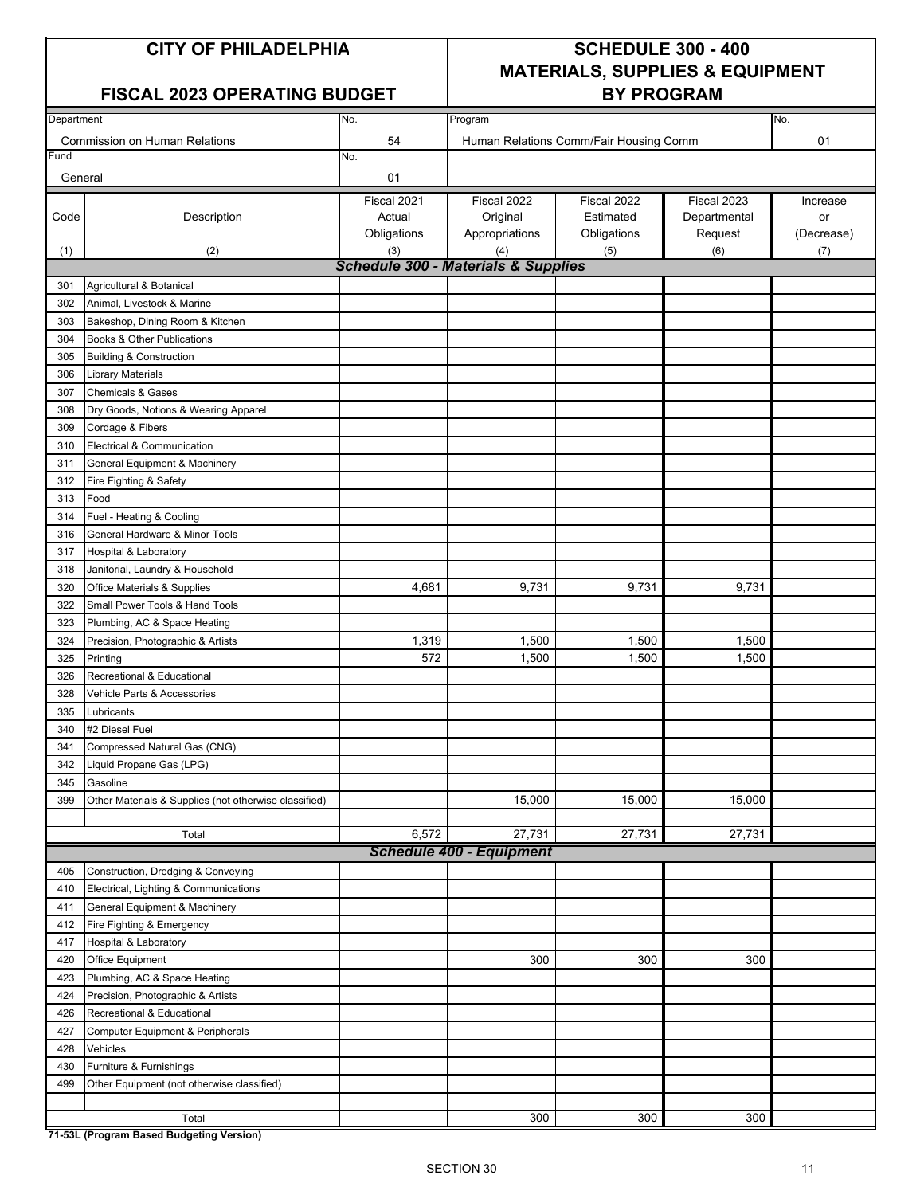#### FISCAL 2023 OPERATING BUDGET | BY PROGRAM

## **CITY OF PHILADELPHIA SCHEDULE 300 - 400 MATERIALS, SUPPLIES & EQUIPMENT**

| Department                           |                                                       | No.                                            | Program                                | No.         |              |            |  |  |  |  |
|--------------------------------------|-------------------------------------------------------|------------------------------------------------|----------------------------------------|-------------|--------------|------------|--|--|--|--|
| <b>Commission on Human Relations</b> |                                                       | 54                                             | Human Relations Comm/Fair Housing Comm |             |              | 01         |  |  |  |  |
| Fund                                 |                                                       | No.                                            |                                        |             |              |            |  |  |  |  |
| General                              |                                                       | 01                                             |                                        |             |              |            |  |  |  |  |
|                                      |                                                       | Fiscal 2021                                    | Fiscal 2022                            | Fiscal 2022 | Fiscal 2023  | Increase   |  |  |  |  |
| Code                                 | Description                                           | Actual                                         | Original                               | Estimated   | Departmental | or         |  |  |  |  |
|                                      |                                                       | Obligations                                    | Appropriations                         | Obligations | Request      | (Decrease) |  |  |  |  |
| (1)                                  | (2)                                                   | (3)                                            | (4)                                    | (5)         | (6)          | (7)        |  |  |  |  |
|                                      |                                                       | <b>Schedule 300 - Materials &amp; Supplies</b> |                                        |             |              |            |  |  |  |  |
| 301                                  | Agricultural & Botanical                              |                                                |                                        |             |              |            |  |  |  |  |
| 302                                  | Animal, Livestock & Marine                            |                                                |                                        |             |              |            |  |  |  |  |
| 303                                  | Bakeshop, Dining Room & Kitchen                       |                                                |                                        |             |              |            |  |  |  |  |
| 304                                  | Books & Other Publications                            |                                                |                                        |             |              |            |  |  |  |  |
| 305                                  | <b>Building &amp; Construction</b>                    |                                                |                                        |             |              |            |  |  |  |  |
| 306                                  | <b>Library Materials</b>                              |                                                |                                        |             |              |            |  |  |  |  |
| 307                                  | <b>Chemicals &amp; Gases</b>                          |                                                |                                        |             |              |            |  |  |  |  |
| 308                                  | Dry Goods, Notions & Wearing Apparel                  |                                                |                                        |             |              |            |  |  |  |  |
| 309                                  | Cordage & Fibers                                      |                                                |                                        |             |              |            |  |  |  |  |
| 310                                  | Electrical & Communication                            |                                                |                                        |             |              |            |  |  |  |  |
| 311                                  | General Equipment & Machinery                         |                                                |                                        |             |              |            |  |  |  |  |
| 312                                  | Fire Fighting & Safety                                |                                                |                                        |             |              |            |  |  |  |  |
| 313                                  | Food                                                  |                                                |                                        |             |              |            |  |  |  |  |
| 314                                  | Fuel - Heating & Cooling                              |                                                |                                        |             |              |            |  |  |  |  |
| 316                                  | General Hardware & Minor Tools                        |                                                |                                        |             |              |            |  |  |  |  |
| 317                                  | <b>Hospital &amp; Laboratory</b>                      |                                                |                                        |             |              |            |  |  |  |  |
| 318                                  | Janitorial, Laundry & Household                       |                                                |                                        |             |              |            |  |  |  |  |
| 320                                  | Office Materials & Supplies                           | 4,681                                          | 9,731                                  | 9,731       | 9,731        |            |  |  |  |  |
| 322                                  | Small Power Tools & Hand Tools                        |                                                |                                        |             |              |            |  |  |  |  |
| 323                                  | Plumbing, AC & Space Heating                          |                                                |                                        |             |              |            |  |  |  |  |
| 324                                  | Precision, Photographic & Artists                     | 1,319                                          | 1,500                                  | 1,500       | 1,500        |            |  |  |  |  |
| 325                                  |                                                       | 572                                            | 1,500                                  | 1,500       | 1,500        |            |  |  |  |  |
|                                      | Printing                                              |                                                |                                        |             |              |            |  |  |  |  |
| 326                                  | Recreational & Educational                            |                                                |                                        |             |              |            |  |  |  |  |
| 328                                  | Vehicle Parts & Accessories                           |                                                |                                        |             |              |            |  |  |  |  |
| 335                                  | Lubricants                                            |                                                |                                        |             |              |            |  |  |  |  |
| 340                                  | #2 Diesel Fuel                                        |                                                |                                        |             |              |            |  |  |  |  |
| 341                                  | Compressed Natural Gas (CNG)                          |                                                |                                        |             |              |            |  |  |  |  |
| 342                                  | Liquid Propane Gas (LPG)                              |                                                |                                        |             |              |            |  |  |  |  |
| 345                                  | Gasoline                                              |                                                |                                        |             |              |            |  |  |  |  |
| 399                                  | Other Materials & Supplies (not otherwise classified) |                                                | 15,000                                 | 15,000      | 15,000       |            |  |  |  |  |
|                                      |                                                       |                                                |                                        |             |              |            |  |  |  |  |
|                                      | Total                                                 | 6,572                                          | 27,731                                 | 27,731      | 27,731       |            |  |  |  |  |
|                                      |                                                       |                                                | <b>Schedule 400 - Equipment</b>        |             |              |            |  |  |  |  |
| 405                                  | Construction, Dredging & Conveying                    |                                                |                                        |             |              |            |  |  |  |  |
| 410                                  | Electrical, Lighting & Communications                 |                                                |                                        |             |              |            |  |  |  |  |
| 411                                  | General Equipment & Machinery                         |                                                |                                        |             |              |            |  |  |  |  |
| 412                                  | Fire Fighting & Emergency                             |                                                |                                        |             |              |            |  |  |  |  |
| 417                                  | Hospital & Laboratory                                 |                                                |                                        |             |              |            |  |  |  |  |
| 420                                  | Office Equipment                                      |                                                | 300                                    | 300         | 300          |            |  |  |  |  |
| 423                                  | Plumbing, AC & Space Heating                          |                                                |                                        |             |              |            |  |  |  |  |
| 424                                  | Precision, Photographic & Artists                     |                                                |                                        |             |              |            |  |  |  |  |
| 426                                  | Recreational & Educational                            |                                                |                                        |             |              |            |  |  |  |  |
| 427                                  | <b>Computer Equipment &amp; Peripherals</b>           |                                                |                                        |             |              |            |  |  |  |  |
| 428                                  | Vehicles                                              |                                                |                                        |             |              |            |  |  |  |  |
| 430                                  | Furniture & Furnishings                               |                                                |                                        |             |              |            |  |  |  |  |
| 499                                  | Other Equipment (not otherwise classified)            |                                                |                                        |             |              |            |  |  |  |  |
|                                      |                                                       |                                                |                                        |             |              |            |  |  |  |  |
|                                      | Total                                                 |                                                | 300                                    | 300         | 300          |            |  |  |  |  |

**71-53L (Program Based Budgeting Version)**